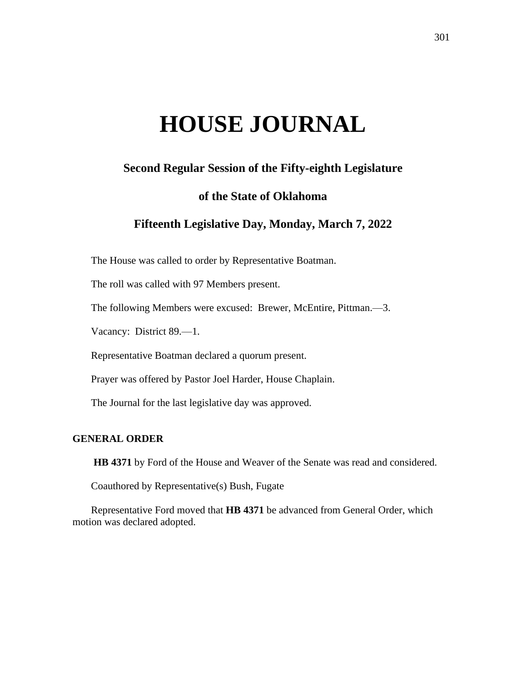# **HOUSE JOURNAL**

# **Second Regular Session of the Fifty-eighth Legislature**

# **of the State of Oklahoma**

# **Fifteenth Legislative Day, Monday, March 7, 2022**

The House was called to order by Representative Boatman.

The roll was called with 97 Members present.

The following Members were excused: Brewer, McEntire, Pittman.—3.

Vacancy: District 89.—1.

Representative Boatman declared a quorum present.

Prayer was offered by Pastor Joel Harder, House Chaplain.

The Journal for the last legislative day was approved.

# **GENERAL ORDER**

**HB 4371** by Ford of the House and Weaver of the Senate was read and considered.

Coauthored by Representative(s) Bush, Fugate

Representative Ford moved that **HB 4371** be advanced from General Order, which motion was declared adopted.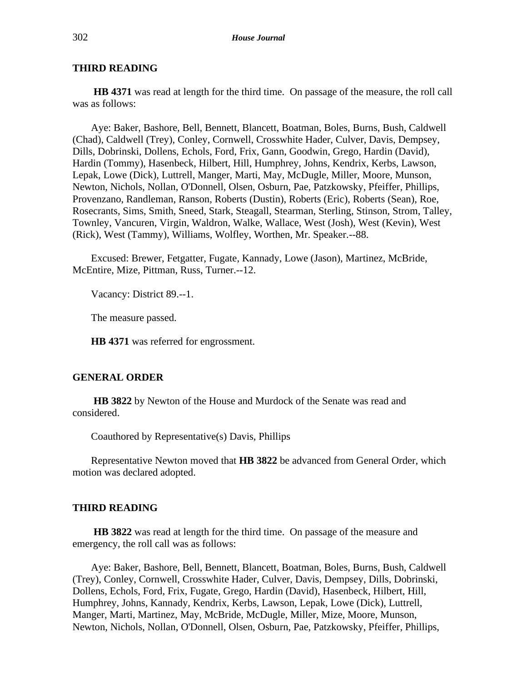# **THIRD READING**

**HB 4371** was read at length for the third time. On passage of the measure, the roll call was as follows:

Aye: Baker, Bashore, Bell, Bennett, Blancett, Boatman, Boles, Burns, Bush, Caldwell (Chad), Caldwell (Trey), Conley, Cornwell, Crosswhite Hader, Culver, Davis, Dempsey, Dills, Dobrinski, Dollens, Echols, Ford, Frix, Gann, Goodwin, Grego, Hardin (David), Hardin (Tommy), Hasenbeck, Hilbert, Hill, Humphrey, Johns, Kendrix, Kerbs, Lawson, Lepak, Lowe (Dick), Luttrell, Manger, Marti, May, McDugle, Miller, Moore, Munson, Newton, Nichols, Nollan, O'Donnell, Olsen, Osburn, Pae, Patzkowsky, Pfeiffer, Phillips, Provenzano, Randleman, Ranson, Roberts (Dustin), Roberts (Eric), Roberts (Sean), Roe, Rosecrants, Sims, Smith, Sneed, Stark, Steagall, Stearman, Sterling, Stinson, Strom, Talley, Townley, Vancuren, Virgin, Waldron, Walke, Wallace, West (Josh), West (Kevin), West (Rick), West (Tammy), Williams, Wolfley, Worthen, Mr. Speaker.--88.

Excused: Brewer, Fetgatter, Fugate, Kannady, Lowe (Jason), Martinez, McBride, McEntire, Mize, Pittman, Russ, Turner.--12.

Vacancy: District 89.--1.

The measure passed.

**HB 4371** was referred for engrossment.

#### **GENERAL ORDER**

**HB 3822** by Newton of the House and Murdock of the Senate was read and considered.

Coauthored by Representative(s) Davis, Phillips

Representative Newton moved that **HB 3822** be advanced from General Order, which motion was declared adopted.

#### **THIRD READING**

**HB 3822** was read at length for the third time. On passage of the measure and emergency, the roll call was as follows:

Aye: Baker, Bashore, Bell, Bennett, Blancett, Boatman, Boles, Burns, Bush, Caldwell (Trey), Conley, Cornwell, Crosswhite Hader, Culver, Davis, Dempsey, Dills, Dobrinski, Dollens, Echols, Ford, Frix, Fugate, Grego, Hardin (David), Hasenbeck, Hilbert, Hill, Humphrey, Johns, Kannady, Kendrix, Kerbs, Lawson, Lepak, Lowe (Dick), Luttrell, Manger, Marti, Martinez, May, McBride, McDugle, Miller, Mize, Moore, Munson, Newton, Nichols, Nollan, O'Donnell, Olsen, Osburn, Pae, Patzkowsky, Pfeiffer, Phillips,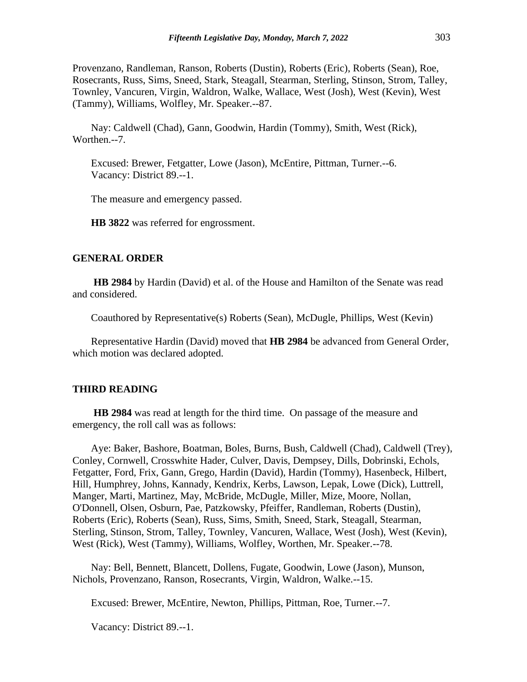Provenzano, Randleman, Ranson, Roberts (Dustin), Roberts (Eric), Roberts (Sean), Roe, Rosecrants, Russ, Sims, Sneed, Stark, Steagall, Stearman, Sterling, Stinson, Strom, Talley, Townley, Vancuren, Virgin, Waldron, Walke, Wallace, West (Josh), West (Kevin), West (Tammy), Williams, Wolfley, Mr. Speaker.--87.

Nay: Caldwell (Chad), Gann, Goodwin, Hardin (Tommy), Smith, West (Rick), Worthen.--7.

Excused: Brewer, Fetgatter, Lowe (Jason), McEntire, Pittman, Turner.--6. Vacancy: District 89.--1.

The measure and emergency passed.

**HB 3822** was referred for engrossment.

#### **GENERAL ORDER**

**HB 2984** by Hardin (David) et al. of the House and Hamilton of the Senate was read and considered.

Coauthored by Representative(s) Roberts (Sean), McDugle, Phillips, West (Kevin)

Representative Hardin (David) moved that **HB 2984** be advanced from General Order, which motion was declared adopted.

#### **THIRD READING**

**HB 2984** was read at length for the third time. On passage of the measure and emergency, the roll call was as follows:

Aye: Baker, Bashore, Boatman, Boles, Burns, Bush, Caldwell (Chad), Caldwell (Trey), Conley, Cornwell, Crosswhite Hader, Culver, Davis, Dempsey, Dills, Dobrinski, Echols, Fetgatter, Ford, Frix, Gann, Grego, Hardin (David), Hardin (Tommy), Hasenbeck, Hilbert, Hill, Humphrey, Johns, Kannady, Kendrix, Kerbs, Lawson, Lepak, Lowe (Dick), Luttrell, Manger, Marti, Martinez, May, McBride, McDugle, Miller, Mize, Moore, Nollan, O'Donnell, Olsen, Osburn, Pae, Patzkowsky, Pfeiffer, Randleman, Roberts (Dustin), Roberts (Eric), Roberts (Sean), Russ, Sims, Smith, Sneed, Stark, Steagall, Stearman, Sterling, Stinson, Strom, Talley, Townley, Vancuren, Wallace, West (Josh), West (Kevin), West (Rick), West (Tammy), Williams, Wolfley, Worthen, Mr. Speaker.--78.

Nay: Bell, Bennett, Blancett, Dollens, Fugate, Goodwin, Lowe (Jason), Munson, Nichols, Provenzano, Ranson, Rosecrants, Virgin, Waldron, Walke.--15.

Excused: Brewer, McEntire, Newton, Phillips, Pittman, Roe, Turner.--7.

Vacancy: District 89.--1.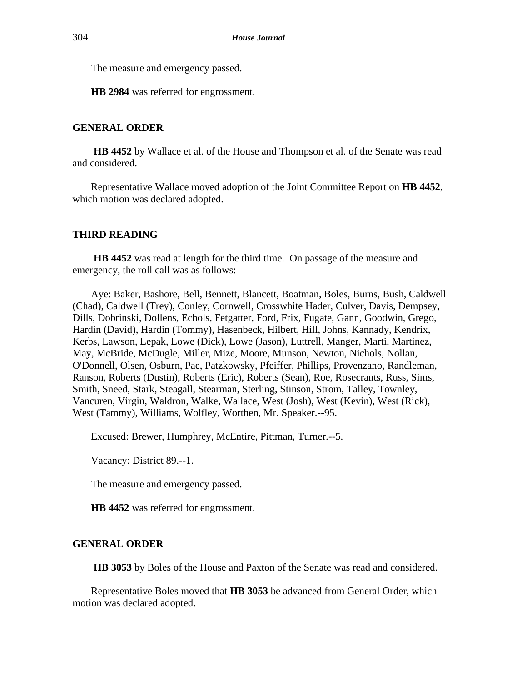The measure and emergency passed.

**HB 2984** was referred for engrossment.

# **GENERAL ORDER**

**HB 4452** by Wallace et al. of the House and Thompson et al. of the Senate was read and considered.

Representative Wallace moved adoption of the Joint Committee Report on **HB 4452**, which motion was declared adopted.

#### **THIRD READING**

**HB 4452** was read at length for the third time. On passage of the measure and emergency, the roll call was as follows:

Aye: Baker, Bashore, Bell, Bennett, Blancett, Boatman, Boles, Burns, Bush, Caldwell (Chad), Caldwell (Trey), Conley, Cornwell, Crosswhite Hader, Culver, Davis, Dempsey, Dills, Dobrinski, Dollens, Echols, Fetgatter, Ford, Frix, Fugate, Gann, Goodwin, Grego, Hardin (David), Hardin (Tommy), Hasenbeck, Hilbert, Hill, Johns, Kannady, Kendrix, Kerbs, Lawson, Lepak, Lowe (Dick), Lowe (Jason), Luttrell, Manger, Marti, Martinez, May, McBride, McDugle, Miller, Mize, Moore, Munson, Newton, Nichols, Nollan, O'Donnell, Olsen, Osburn, Pae, Patzkowsky, Pfeiffer, Phillips, Provenzano, Randleman, Ranson, Roberts (Dustin), Roberts (Eric), Roberts (Sean), Roe, Rosecrants, Russ, Sims, Smith, Sneed, Stark, Steagall, Stearman, Sterling, Stinson, Strom, Talley, Townley, Vancuren, Virgin, Waldron, Walke, Wallace, West (Josh), West (Kevin), West (Rick), West (Tammy), Williams, Wolfley, Worthen, Mr. Speaker.--95.

Excused: Brewer, Humphrey, McEntire, Pittman, Turner.--5.

Vacancy: District 89.--1.

The measure and emergency passed.

**HB 4452** was referred for engrossment.

#### **GENERAL ORDER**

**HB 3053** by Boles of the House and Paxton of the Senate was read and considered.

Representative Boles moved that **HB 3053** be advanced from General Order, which motion was declared adopted.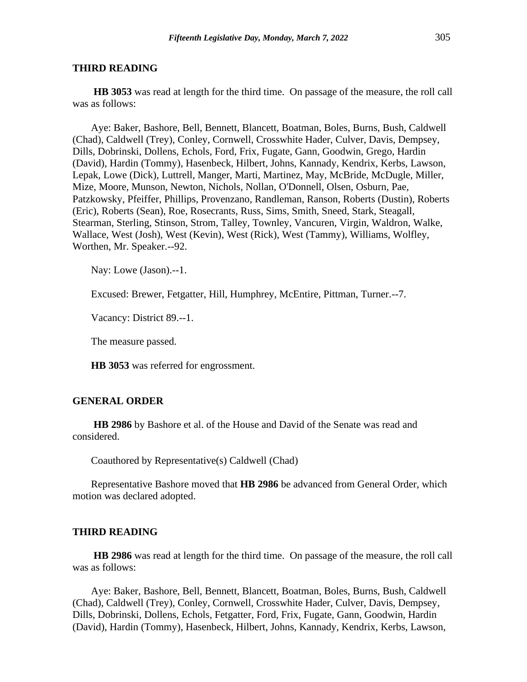#### **THIRD READING**

**HB 3053** was read at length for the third time. On passage of the measure, the roll call was as follows:

Aye: Baker, Bashore, Bell, Bennett, Blancett, Boatman, Boles, Burns, Bush, Caldwell (Chad), Caldwell (Trey), Conley, Cornwell, Crosswhite Hader, Culver, Davis, Dempsey, Dills, Dobrinski, Dollens, Echols, Ford, Frix, Fugate, Gann, Goodwin, Grego, Hardin (David), Hardin (Tommy), Hasenbeck, Hilbert, Johns, Kannady, Kendrix, Kerbs, Lawson, Lepak, Lowe (Dick), Luttrell, Manger, Marti, Martinez, May, McBride, McDugle, Miller, Mize, Moore, Munson, Newton, Nichols, Nollan, O'Donnell, Olsen, Osburn, Pae, Patzkowsky, Pfeiffer, Phillips, Provenzano, Randleman, Ranson, Roberts (Dustin), Roberts (Eric), Roberts (Sean), Roe, Rosecrants, Russ, Sims, Smith, Sneed, Stark, Steagall, Stearman, Sterling, Stinson, Strom, Talley, Townley, Vancuren, Virgin, Waldron, Walke, Wallace, West (Josh), West (Kevin), West (Rick), West (Tammy), Williams, Wolfley, Worthen, Mr. Speaker.--92.

Nay: Lowe (Jason).--1.

Excused: Brewer, Fetgatter, Hill, Humphrey, McEntire, Pittman, Turner.--7.

Vacancy: District 89.--1.

The measure passed.

**HB 3053** was referred for engrossment.

#### **GENERAL ORDER**

**HB 2986** by Bashore et al. of the House and David of the Senate was read and considered.

Coauthored by Representative(s) Caldwell (Chad)

Representative Bashore moved that **HB 2986** be advanced from General Order, which motion was declared adopted.

#### **THIRD READING**

**HB 2986** was read at length for the third time. On passage of the measure, the roll call was as follows:

Aye: Baker, Bashore, Bell, Bennett, Blancett, Boatman, Boles, Burns, Bush, Caldwell (Chad), Caldwell (Trey), Conley, Cornwell, Crosswhite Hader, Culver, Davis, Dempsey, Dills, Dobrinski, Dollens, Echols, Fetgatter, Ford, Frix, Fugate, Gann, Goodwin, Hardin (David), Hardin (Tommy), Hasenbeck, Hilbert, Johns, Kannady, Kendrix, Kerbs, Lawson,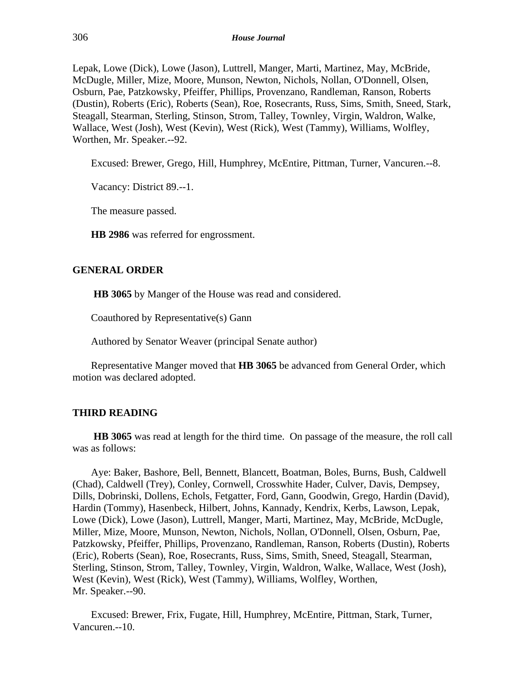Lepak, Lowe (Dick), Lowe (Jason), Luttrell, Manger, Marti, Martinez, May, McBride, McDugle, Miller, Mize, Moore, Munson, Newton, Nichols, Nollan, O'Donnell, Olsen, Osburn, Pae, Patzkowsky, Pfeiffer, Phillips, Provenzano, Randleman, Ranson, Roberts (Dustin), Roberts (Eric), Roberts (Sean), Roe, Rosecrants, Russ, Sims, Smith, Sneed, Stark, Steagall, Stearman, Sterling, Stinson, Strom, Talley, Townley, Virgin, Waldron, Walke, Wallace, West (Josh), West (Kevin), West (Rick), West (Tammy), Williams, Wolfley, Worthen, Mr. Speaker.--92.

Excused: Brewer, Grego, Hill, Humphrey, McEntire, Pittman, Turner, Vancuren.--8.

Vacancy: District 89.--1.

The measure passed.

**HB 2986** was referred for engrossment.

#### **GENERAL ORDER**

**HB 3065** by Manger of the House was read and considered.

Coauthored by Representative(s) Gann

Authored by Senator Weaver (principal Senate author)

Representative Manger moved that **HB 3065** be advanced from General Order, which motion was declared adopted.

# **THIRD READING**

**HB 3065** was read at length for the third time. On passage of the measure, the roll call was as follows:

Aye: Baker, Bashore, Bell, Bennett, Blancett, Boatman, Boles, Burns, Bush, Caldwell (Chad), Caldwell (Trey), Conley, Cornwell, Crosswhite Hader, Culver, Davis, Dempsey, Dills, Dobrinski, Dollens, Echols, Fetgatter, Ford, Gann, Goodwin, Grego, Hardin (David), Hardin (Tommy), Hasenbeck, Hilbert, Johns, Kannady, Kendrix, Kerbs, Lawson, Lepak, Lowe (Dick), Lowe (Jason), Luttrell, Manger, Marti, Martinez, May, McBride, McDugle, Miller, Mize, Moore, Munson, Newton, Nichols, Nollan, O'Donnell, Olsen, Osburn, Pae, Patzkowsky, Pfeiffer, Phillips, Provenzano, Randleman, Ranson, Roberts (Dustin), Roberts (Eric), Roberts (Sean), Roe, Rosecrants, Russ, Sims, Smith, Sneed, Steagall, Stearman, Sterling, Stinson, Strom, Talley, Townley, Virgin, Waldron, Walke, Wallace, West (Josh), West (Kevin), West (Rick), West (Tammy), Williams, Wolfley, Worthen, Mr. Speaker.--90.

Excused: Brewer, Frix, Fugate, Hill, Humphrey, McEntire, Pittman, Stark, Turner, Vancuren.--10.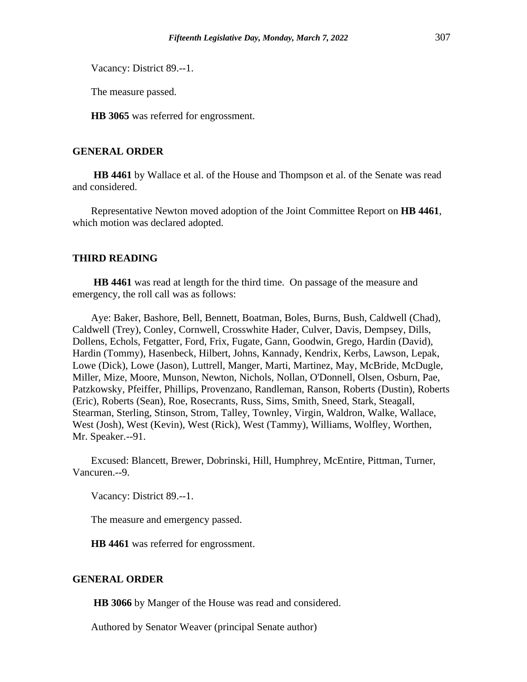Vacancy: District 89.--1.

The measure passed.

**HB 3065** was referred for engrossment.

#### **GENERAL ORDER**

**HB 4461** by Wallace et al. of the House and Thompson et al. of the Senate was read and considered.

Representative Newton moved adoption of the Joint Committee Report on **HB 4461**, which motion was declared adopted.

# **THIRD READING**

**HB 4461** was read at length for the third time. On passage of the measure and emergency, the roll call was as follows:

Aye: Baker, Bashore, Bell, Bennett, Boatman, Boles, Burns, Bush, Caldwell (Chad), Caldwell (Trey), Conley, Cornwell, Crosswhite Hader, Culver, Davis, Dempsey, Dills, Dollens, Echols, Fetgatter, Ford, Frix, Fugate, Gann, Goodwin, Grego, Hardin (David), Hardin (Tommy), Hasenbeck, Hilbert, Johns, Kannady, Kendrix, Kerbs, Lawson, Lepak, Lowe (Dick), Lowe (Jason), Luttrell, Manger, Marti, Martinez, May, McBride, McDugle, Miller, Mize, Moore, Munson, Newton, Nichols, Nollan, O'Donnell, Olsen, Osburn, Pae, Patzkowsky, Pfeiffer, Phillips, Provenzano, Randleman, Ranson, Roberts (Dustin), Roberts (Eric), Roberts (Sean), Roe, Rosecrants, Russ, Sims, Smith, Sneed, Stark, Steagall, Stearman, Sterling, Stinson, Strom, Talley, Townley, Virgin, Waldron, Walke, Wallace, West (Josh), West (Kevin), West (Rick), West (Tammy), Williams, Wolfley, Worthen, Mr. Speaker.--91.

Excused: Blancett, Brewer, Dobrinski, Hill, Humphrey, McEntire, Pittman, Turner, Vancuren.--9.

Vacancy: District 89.--1.

The measure and emergency passed.

**HB 4461** was referred for engrossment.

# **GENERAL ORDER**

**HB 3066** by Manger of the House was read and considered.

Authored by Senator Weaver (principal Senate author)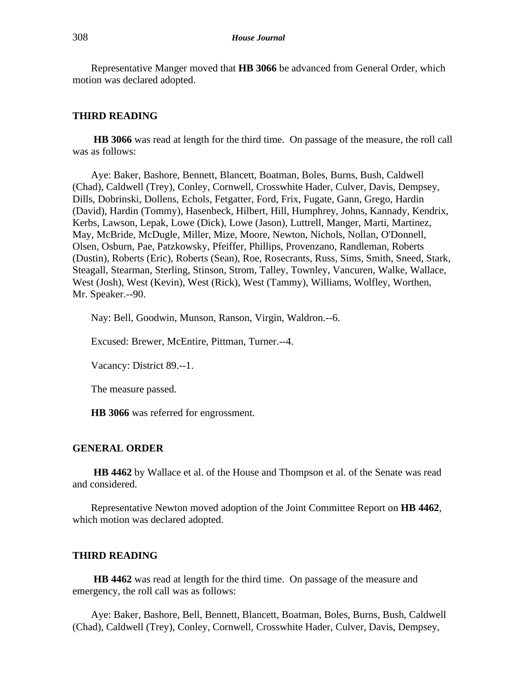Representative Manger moved that **HB 3066** be advanced from General Order, which motion was declared adopted.

#### **THIRD READING**

**HB 3066** was read at length for the third time. On passage of the measure, the roll call was as follows:

Aye: Baker, Bashore, Bennett, Blancett, Boatman, Boles, Burns, Bush, Caldwell (Chad), Caldwell (Trey), Conley, Cornwell, Crosswhite Hader, Culver, Davis, Dempsey, Dills, Dobrinski, Dollens, Echols, Fetgatter, Ford, Frix, Fugate, Gann, Grego, Hardin (David), Hardin (Tommy), Hasenbeck, Hilbert, Hill, Humphrey, Johns, Kannady, Kendrix, Kerbs, Lawson, Lepak, Lowe (Dick), Lowe (Jason), Luttrell, Manger, Marti, Martinez, May, McBride, McDugle, Miller, Mize, Moore, Newton, Nichols, Nollan, O'Donnell, Olsen, Osburn, Pae, Patzkowsky, Pfeiffer, Phillips, Provenzano, Randleman, Roberts (Dustin), Roberts (Eric), Roberts (Sean), Roe, Rosecrants, Russ, Sims, Smith, Sneed, Stark, Steagall, Stearman, Sterling, Stinson, Strom, Talley, Townley, Vancuren, Walke, Wallace, West (Josh), West (Kevin), West (Rick), West (Tammy), Williams, Wolfley, Worthen, Mr. Speaker.--90.

Nay: Bell, Goodwin, Munson, Ranson, Virgin, Waldron.--6.

Excused: Brewer, McEntire, Pittman, Turner.--4.

Vacancy: District 89.--1.

The measure passed.

**HB 3066** was referred for engrossment.

#### **GENERAL ORDER**

**HB 4462** by Wallace et al. of the House and Thompson et al. of the Senate was read and considered.

Representative Newton moved adoption of the Joint Committee Report on **HB 4462**, which motion was declared adopted.

## **THIRD READING**

**HB 4462** was read at length for the third time. On passage of the measure and emergency, the roll call was as follows:

Aye: Baker, Bashore, Bell, Bennett, Blancett, Boatman, Boles, Burns, Bush, Caldwell (Chad), Caldwell (Trey), Conley, Cornwell, Crosswhite Hader, Culver, Davis, Dempsey,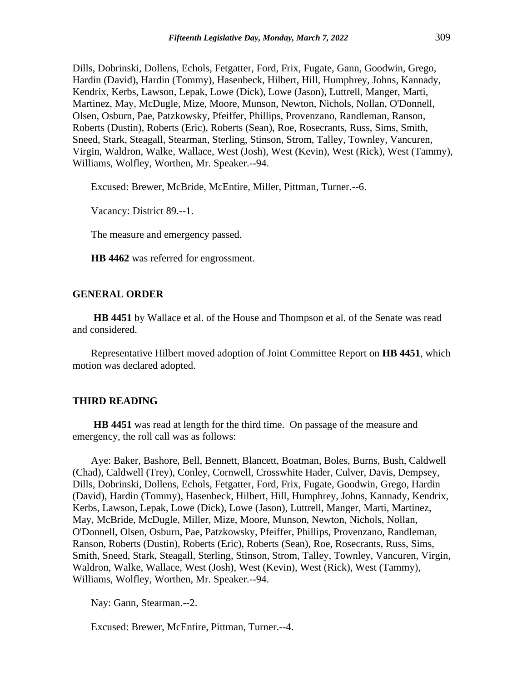Dills, Dobrinski, Dollens, Echols, Fetgatter, Ford, Frix, Fugate, Gann, Goodwin, Grego, Hardin (David), Hardin (Tommy), Hasenbeck, Hilbert, Hill, Humphrey, Johns, Kannady, Kendrix, Kerbs, Lawson, Lepak, Lowe (Dick), Lowe (Jason), Luttrell, Manger, Marti, Martinez, May, McDugle, Mize, Moore, Munson, Newton, Nichols, Nollan, O'Donnell, Olsen, Osburn, Pae, Patzkowsky, Pfeiffer, Phillips, Provenzano, Randleman, Ranson, Roberts (Dustin), Roberts (Eric), Roberts (Sean), Roe, Rosecrants, Russ, Sims, Smith, Sneed, Stark, Steagall, Stearman, Sterling, Stinson, Strom, Talley, Townley, Vancuren, Virgin, Waldron, Walke, Wallace, West (Josh), West (Kevin), West (Rick), West (Tammy), Williams, Wolfley, Worthen, Mr. Speaker.--94.

Excused: Brewer, McBride, McEntire, Miller, Pittman, Turner.--6.

Vacancy: District 89.--1.

The measure and emergency passed.

**HB 4462** was referred for engrossment.

## **GENERAL ORDER**

**HB 4451** by Wallace et al. of the House and Thompson et al. of the Senate was read and considered.

Representative Hilbert moved adoption of Joint Committee Report on **HB 4451**, which motion was declared adopted.

#### **THIRD READING**

**HB 4451** was read at length for the third time. On passage of the measure and emergency, the roll call was as follows:

Aye: Baker, Bashore, Bell, Bennett, Blancett, Boatman, Boles, Burns, Bush, Caldwell (Chad), Caldwell (Trey), Conley, Cornwell, Crosswhite Hader, Culver, Davis, Dempsey, Dills, Dobrinski, Dollens, Echols, Fetgatter, Ford, Frix, Fugate, Goodwin, Grego, Hardin (David), Hardin (Tommy), Hasenbeck, Hilbert, Hill, Humphrey, Johns, Kannady, Kendrix, Kerbs, Lawson, Lepak, Lowe (Dick), Lowe (Jason), Luttrell, Manger, Marti, Martinez, May, McBride, McDugle, Miller, Mize, Moore, Munson, Newton, Nichols, Nollan, O'Donnell, Olsen, Osburn, Pae, Patzkowsky, Pfeiffer, Phillips, Provenzano, Randleman, Ranson, Roberts (Dustin), Roberts (Eric), Roberts (Sean), Roe, Rosecrants, Russ, Sims, Smith, Sneed, Stark, Steagall, Sterling, Stinson, Strom, Talley, Townley, Vancuren, Virgin, Waldron, Walke, Wallace, West (Josh), West (Kevin), West (Rick), West (Tammy), Williams, Wolfley, Worthen, Mr. Speaker.--94.

Nay: Gann, Stearman.--2.

Excused: Brewer, McEntire, Pittman, Turner.--4.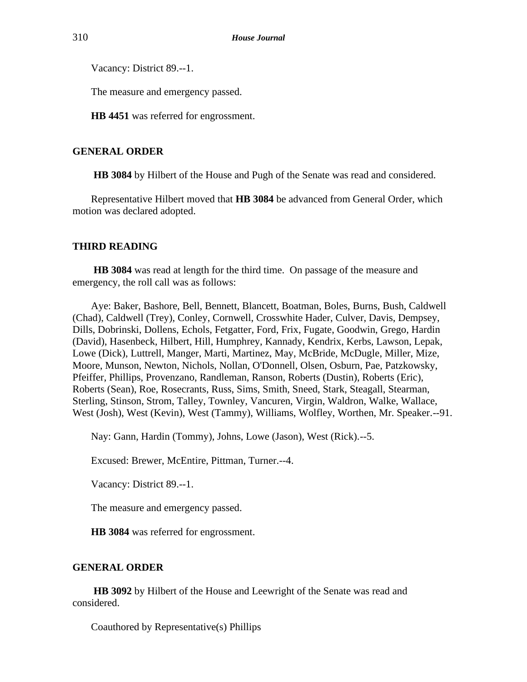Vacancy: District 89.--1.

The measure and emergency passed.

**HB 4451** was referred for engrossment.

# **GENERAL ORDER**

**HB 3084** by Hilbert of the House and Pugh of the Senate was read and considered.

Representative Hilbert moved that **HB 3084** be advanced from General Order, which motion was declared adopted.

# **THIRD READING**

**HB 3084** was read at length for the third time. On passage of the measure and emergency, the roll call was as follows:

Aye: Baker, Bashore, Bell, Bennett, Blancett, Boatman, Boles, Burns, Bush, Caldwell (Chad), Caldwell (Trey), Conley, Cornwell, Crosswhite Hader, Culver, Davis, Dempsey, Dills, Dobrinski, Dollens, Echols, Fetgatter, Ford, Frix, Fugate, Goodwin, Grego, Hardin (David), Hasenbeck, Hilbert, Hill, Humphrey, Kannady, Kendrix, Kerbs, Lawson, Lepak, Lowe (Dick), Luttrell, Manger, Marti, Martinez, May, McBride, McDugle, Miller, Mize, Moore, Munson, Newton, Nichols, Nollan, O'Donnell, Olsen, Osburn, Pae, Patzkowsky, Pfeiffer, Phillips, Provenzano, Randleman, Ranson, Roberts (Dustin), Roberts (Eric), Roberts (Sean), Roe, Rosecrants, Russ, Sims, Smith, Sneed, Stark, Steagall, Stearman, Sterling, Stinson, Strom, Talley, Townley, Vancuren, Virgin, Waldron, Walke, Wallace, West (Josh), West (Kevin), West (Tammy), Williams, Wolfley, Worthen, Mr. Speaker.--91.

Nay: Gann, Hardin (Tommy), Johns, Lowe (Jason), West (Rick).--5.

Excused: Brewer, McEntire, Pittman, Turner.--4.

Vacancy: District 89.--1.

The measure and emergency passed.

**HB 3084** was referred for engrossment.

# **GENERAL ORDER**

**HB 3092** by Hilbert of the House and Leewright of the Senate was read and considered.

Coauthored by Representative(s) Phillips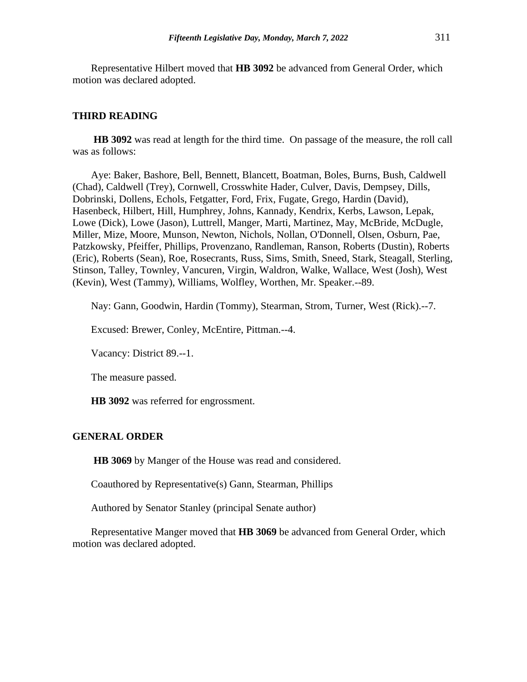Representative Hilbert moved that **HB 3092** be advanced from General Order, which motion was declared adopted.

#### **THIRD READING**

**HB 3092** was read at length for the third time. On passage of the measure, the roll call was as follows:

Aye: Baker, Bashore, Bell, Bennett, Blancett, Boatman, Boles, Burns, Bush, Caldwell (Chad), Caldwell (Trey), Cornwell, Crosswhite Hader, Culver, Davis, Dempsey, Dills, Dobrinski, Dollens, Echols, Fetgatter, Ford, Frix, Fugate, Grego, Hardin (David), Hasenbeck, Hilbert, Hill, Humphrey, Johns, Kannady, Kendrix, Kerbs, Lawson, Lepak, Lowe (Dick), Lowe (Jason), Luttrell, Manger, Marti, Martinez, May, McBride, McDugle, Miller, Mize, Moore, Munson, Newton, Nichols, Nollan, O'Donnell, Olsen, Osburn, Pae, Patzkowsky, Pfeiffer, Phillips, Provenzano, Randleman, Ranson, Roberts (Dustin), Roberts (Eric), Roberts (Sean), Roe, Rosecrants, Russ, Sims, Smith, Sneed, Stark, Steagall, Sterling, Stinson, Talley, Townley, Vancuren, Virgin, Waldron, Walke, Wallace, West (Josh), West (Kevin), West (Tammy), Williams, Wolfley, Worthen, Mr. Speaker.--89.

Nay: Gann, Goodwin, Hardin (Tommy), Stearman, Strom, Turner, West (Rick).--7.

Excused: Brewer, Conley, McEntire, Pittman.--4.

Vacancy: District 89.--1.

The measure passed.

**HB 3092** was referred for engrossment.

## **GENERAL ORDER**

**HB 3069** by Manger of the House was read and considered.

Coauthored by Representative(s) Gann, Stearman, Phillips

Authored by Senator Stanley (principal Senate author)

Representative Manger moved that **HB 3069** be advanced from General Order, which motion was declared adopted.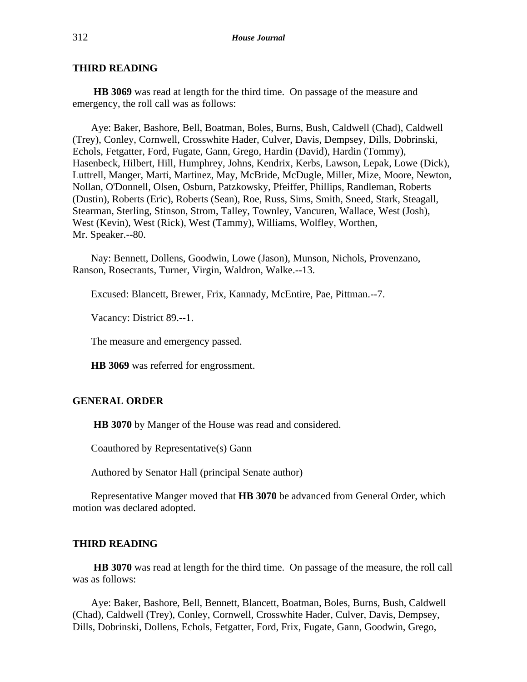# **THIRD READING**

**HB 3069** was read at length for the third time. On passage of the measure and emergency, the roll call was as follows:

Aye: Baker, Bashore, Bell, Boatman, Boles, Burns, Bush, Caldwell (Chad), Caldwell (Trey), Conley, Cornwell, Crosswhite Hader, Culver, Davis, Dempsey, Dills, Dobrinski, Echols, Fetgatter, Ford, Fugate, Gann, Grego, Hardin (David), Hardin (Tommy), Hasenbeck, Hilbert, Hill, Humphrey, Johns, Kendrix, Kerbs, Lawson, Lepak, Lowe (Dick), Luttrell, Manger, Marti, Martinez, May, McBride, McDugle, Miller, Mize, Moore, Newton, Nollan, O'Donnell, Olsen, Osburn, Patzkowsky, Pfeiffer, Phillips, Randleman, Roberts (Dustin), Roberts (Eric), Roberts (Sean), Roe, Russ, Sims, Smith, Sneed, Stark, Steagall, Stearman, Sterling, Stinson, Strom, Talley, Townley, Vancuren, Wallace, West (Josh), West (Kevin), West (Rick), West (Tammy), Williams, Wolfley, Worthen, Mr. Speaker.--80.

Nay: Bennett, Dollens, Goodwin, Lowe (Jason), Munson, Nichols, Provenzano, Ranson, Rosecrants, Turner, Virgin, Waldron, Walke.--13.

Excused: Blancett, Brewer, Frix, Kannady, McEntire, Pae, Pittman.--7.

Vacancy: District 89.--1.

The measure and emergency passed.

**HB 3069** was referred for engrossment.

# **GENERAL ORDER**

**HB 3070** by Manger of the House was read and considered.

Coauthored by Representative(s) Gann

Authored by Senator Hall (principal Senate author)

Representative Manger moved that **HB 3070** be advanced from General Order, which motion was declared adopted.

#### **THIRD READING**

**HB 3070** was read at length for the third time. On passage of the measure, the roll call was as follows:

Aye: Baker, Bashore, Bell, Bennett, Blancett, Boatman, Boles, Burns, Bush, Caldwell (Chad), Caldwell (Trey), Conley, Cornwell, Crosswhite Hader, Culver, Davis, Dempsey, Dills, Dobrinski, Dollens, Echols, Fetgatter, Ford, Frix, Fugate, Gann, Goodwin, Grego,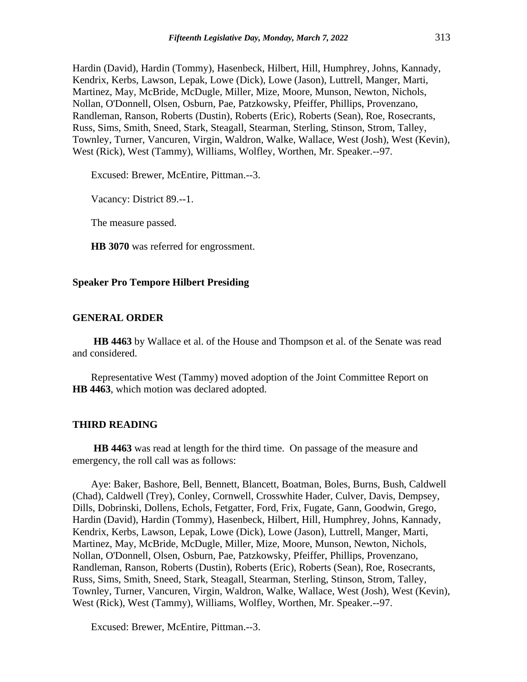Hardin (David), Hardin (Tommy), Hasenbeck, Hilbert, Hill, Humphrey, Johns, Kannady, Kendrix, Kerbs, Lawson, Lepak, Lowe (Dick), Lowe (Jason), Luttrell, Manger, Marti, Martinez, May, McBride, McDugle, Miller, Mize, Moore, Munson, Newton, Nichols, Nollan, O'Donnell, Olsen, Osburn, Pae, Patzkowsky, Pfeiffer, Phillips, Provenzano, Randleman, Ranson, Roberts (Dustin), Roberts (Eric), Roberts (Sean), Roe, Rosecrants, Russ, Sims, Smith, Sneed, Stark, Steagall, Stearman, Sterling, Stinson, Strom, Talley, Townley, Turner, Vancuren, Virgin, Waldron, Walke, Wallace, West (Josh), West (Kevin), West (Rick), West (Tammy), Williams, Wolfley, Worthen, Mr. Speaker.--97.

Excused: Brewer, McEntire, Pittman.--3.

Vacancy: District 89.--1.

The measure passed.

**HB 3070** was referred for engrossment.

#### **Speaker Pro Tempore Hilbert Presiding**

# **GENERAL ORDER**

**HB 4463** by Wallace et al. of the House and Thompson et al. of the Senate was read and considered.

Representative West (Tammy) moved adoption of the Joint Committee Report on **HB 4463**, which motion was declared adopted.

#### **THIRD READING**

**HB 4463** was read at length for the third time. On passage of the measure and emergency, the roll call was as follows:

Aye: Baker, Bashore, Bell, Bennett, Blancett, Boatman, Boles, Burns, Bush, Caldwell (Chad), Caldwell (Trey), Conley, Cornwell, Crosswhite Hader, Culver, Davis, Dempsey, Dills, Dobrinski, Dollens, Echols, Fetgatter, Ford, Frix, Fugate, Gann, Goodwin, Grego, Hardin (David), Hardin (Tommy), Hasenbeck, Hilbert, Hill, Humphrey, Johns, Kannady, Kendrix, Kerbs, Lawson, Lepak, Lowe (Dick), Lowe (Jason), Luttrell, Manger, Marti, Martinez, May, McBride, McDugle, Miller, Mize, Moore, Munson, Newton, Nichols, Nollan, O'Donnell, Olsen, Osburn, Pae, Patzkowsky, Pfeiffer, Phillips, Provenzano, Randleman, Ranson, Roberts (Dustin), Roberts (Eric), Roberts (Sean), Roe, Rosecrants, Russ, Sims, Smith, Sneed, Stark, Steagall, Stearman, Sterling, Stinson, Strom, Talley, Townley, Turner, Vancuren, Virgin, Waldron, Walke, Wallace, West (Josh), West (Kevin), West (Rick), West (Tammy), Williams, Wolfley, Worthen, Mr. Speaker.--97.

Excused: Brewer, McEntire, Pittman.--3.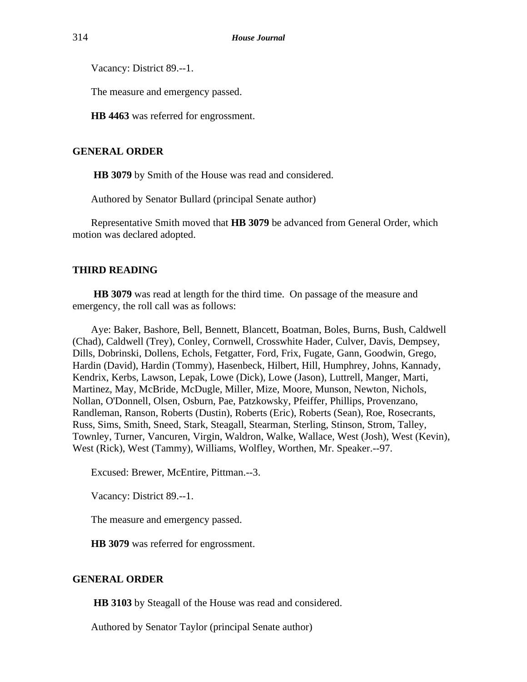Vacancy: District 89.--1.

The measure and emergency passed.

**HB 4463** was referred for engrossment.

# **GENERAL ORDER**

**HB 3079** by Smith of the House was read and considered.

Authored by Senator Bullard (principal Senate author)

Representative Smith moved that **HB 3079** be advanced from General Order, which motion was declared adopted.

# **THIRD READING**

**HB 3079** was read at length for the third time. On passage of the measure and emergency, the roll call was as follows:

Aye: Baker, Bashore, Bell, Bennett, Blancett, Boatman, Boles, Burns, Bush, Caldwell (Chad), Caldwell (Trey), Conley, Cornwell, Crosswhite Hader, Culver, Davis, Dempsey, Dills, Dobrinski, Dollens, Echols, Fetgatter, Ford, Frix, Fugate, Gann, Goodwin, Grego, Hardin (David), Hardin (Tommy), Hasenbeck, Hilbert, Hill, Humphrey, Johns, Kannady, Kendrix, Kerbs, Lawson, Lepak, Lowe (Dick), Lowe (Jason), Luttrell, Manger, Marti, Martinez, May, McBride, McDugle, Miller, Mize, Moore, Munson, Newton, Nichols, Nollan, O'Donnell, Olsen, Osburn, Pae, Patzkowsky, Pfeiffer, Phillips, Provenzano, Randleman, Ranson, Roberts (Dustin), Roberts (Eric), Roberts (Sean), Roe, Rosecrants, Russ, Sims, Smith, Sneed, Stark, Steagall, Stearman, Sterling, Stinson, Strom, Talley, Townley, Turner, Vancuren, Virgin, Waldron, Walke, Wallace, West (Josh), West (Kevin), West (Rick), West (Tammy), Williams, Wolfley, Worthen, Mr. Speaker.--97.

Excused: Brewer, McEntire, Pittman.--3.

Vacancy: District 89.--1.

The measure and emergency passed.

**HB 3079** was referred for engrossment.

# **GENERAL ORDER**

**HB 3103** by Steagall of the House was read and considered.

Authored by Senator Taylor (principal Senate author)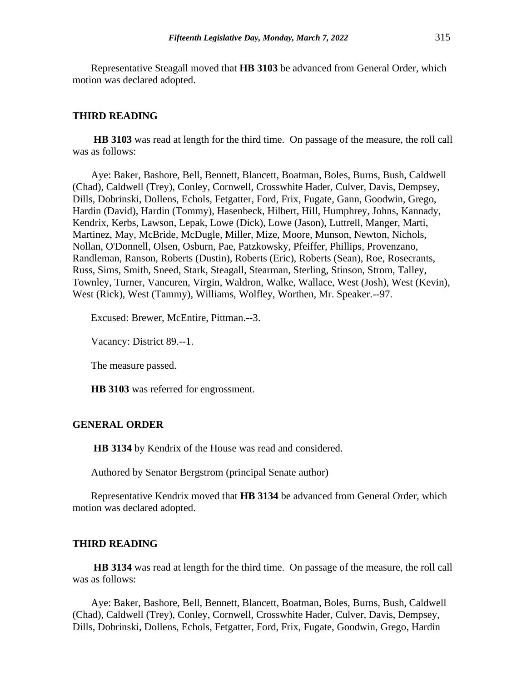Representative Steagall moved that **HB 3103** be advanced from General Order, which motion was declared adopted.

#### **THIRD READING**

**HB 3103** was read at length for the third time. On passage of the measure, the roll call was as follows:

Aye: Baker, Bashore, Bell, Bennett, Blancett, Boatman, Boles, Burns, Bush, Caldwell (Chad), Caldwell (Trey), Conley, Cornwell, Crosswhite Hader, Culver, Davis, Dempsey, Dills, Dobrinski, Dollens, Echols, Fetgatter, Ford, Frix, Fugate, Gann, Goodwin, Grego, Hardin (David), Hardin (Tommy), Hasenbeck, Hilbert, Hill, Humphrey, Johns, Kannady, Kendrix, Kerbs, Lawson, Lepak, Lowe (Dick), Lowe (Jason), Luttrell, Manger, Marti, Martinez, May, McBride, McDugle, Miller, Mize, Moore, Munson, Newton, Nichols, Nollan, O'Donnell, Olsen, Osburn, Pae, Patzkowsky, Pfeiffer, Phillips, Provenzano, Randleman, Ranson, Roberts (Dustin), Roberts (Eric), Roberts (Sean), Roe, Rosecrants, Russ, Sims, Smith, Sneed, Stark, Steagall, Stearman, Sterling, Stinson, Strom, Talley, Townley, Turner, Vancuren, Virgin, Waldron, Walke, Wallace, West (Josh), West (Kevin), West (Rick), West (Tammy), Williams, Wolfley, Worthen, Mr. Speaker.--97.

Excused: Brewer, McEntire, Pittman.--3.

Vacancy: District 89.--1.

The measure passed.

**HB 3103** was referred for engrossment.

## **GENERAL ORDER**

**HB 3134** by Kendrix of the House was read and considered.

Authored by Senator Bergstrom (principal Senate author)

Representative Kendrix moved that **HB 3134** be advanced from General Order, which motion was declared adopted.

#### **THIRD READING**

**HB 3134** was read at length for the third time. On passage of the measure, the roll call was as follows:

Aye: Baker, Bashore, Bell, Bennett, Blancett, Boatman, Boles, Burns, Bush, Caldwell (Chad), Caldwell (Trey), Conley, Cornwell, Crosswhite Hader, Culver, Davis, Dempsey, Dills, Dobrinski, Dollens, Echols, Fetgatter, Ford, Frix, Fugate, Goodwin, Grego, Hardin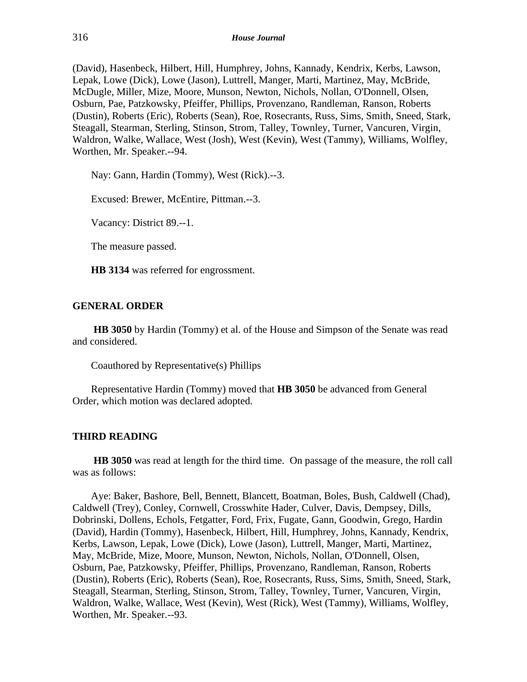(David), Hasenbeck, Hilbert, Hill, Humphrey, Johns, Kannady, Kendrix, Kerbs, Lawson, Lepak, Lowe (Dick), Lowe (Jason), Luttrell, Manger, Marti, Martinez, May, McBride, McDugle, Miller, Mize, Moore, Munson, Newton, Nichols, Nollan, O'Donnell, Olsen, Osburn, Pae, Patzkowsky, Pfeiffer, Phillips, Provenzano, Randleman, Ranson, Roberts (Dustin), Roberts (Eric), Roberts (Sean), Roe, Rosecrants, Russ, Sims, Smith, Sneed, Stark, Steagall, Stearman, Sterling, Stinson, Strom, Talley, Townley, Turner, Vancuren, Virgin, Waldron, Walke, Wallace, West (Josh), West (Kevin), West (Tammy), Williams, Wolfley, Worthen, Mr. Speaker.--94.

Nay: Gann, Hardin (Tommy), West (Rick).--3.

Excused: Brewer, McEntire, Pittman.--3.

Vacancy: District 89.--1.

The measure passed.

**HB 3134** was referred for engrossment.

# **GENERAL ORDER**

**HB 3050** by Hardin (Tommy) et al. of the House and Simpson of the Senate was read and considered.

Coauthored by Representative(s) Phillips

Representative Hardin (Tommy) moved that **HB 3050** be advanced from General Order, which motion was declared adopted.

## **THIRD READING**

**HB 3050** was read at length for the third time. On passage of the measure, the roll call was as follows:

Aye: Baker, Bashore, Bell, Bennett, Blancett, Boatman, Boles, Bush, Caldwell (Chad), Caldwell (Trey), Conley, Cornwell, Crosswhite Hader, Culver, Davis, Dempsey, Dills, Dobrinski, Dollens, Echols, Fetgatter, Ford, Frix, Fugate, Gann, Goodwin, Grego, Hardin (David), Hardin (Tommy), Hasenbeck, Hilbert, Hill, Humphrey, Johns, Kannady, Kendrix, Kerbs, Lawson, Lepak, Lowe (Dick), Lowe (Jason), Luttrell, Manger, Marti, Martinez, May, McBride, Mize, Moore, Munson, Newton, Nichols, Nollan, O'Donnell, Olsen, Osburn, Pae, Patzkowsky, Pfeiffer, Phillips, Provenzano, Randleman, Ranson, Roberts (Dustin), Roberts (Eric), Roberts (Sean), Roe, Rosecrants, Russ, Sims, Smith, Sneed, Stark, Steagall, Stearman, Sterling, Stinson, Strom, Talley, Townley, Turner, Vancuren, Virgin, Waldron, Walke, Wallace, West (Kevin), West (Rick), West (Tammy), Williams, Wolfley, Worthen, Mr. Speaker.--93.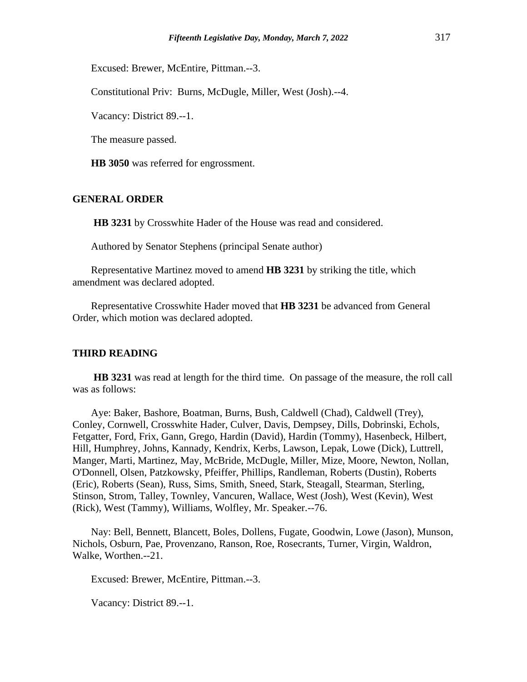Excused: Brewer, McEntire, Pittman.--3.

Constitutional Priv: Burns, McDugle, Miller, West (Josh).--4.

Vacancy: District 89.--1.

The measure passed.

**HB 3050** was referred for engrossment.

# **GENERAL ORDER**

**HB 3231** by Crosswhite Hader of the House was read and considered.

Authored by Senator Stephens (principal Senate author)

Representative Martinez moved to amend **HB 3231** by striking the title, which amendment was declared adopted.

Representative Crosswhite Hader moved that **HB 3231** be advanced from General Order, which motion was declared adopted.

#### **THIRD READING**

**HB 3231** was read at length for the third time. On passage of the measure, the roll call was as follows:

Aye: Baker, Bashore, Boatman, Burns, Bush, Caldwell (Chad), Caldwell (Trey), Conley, Cornwell, Crosswhite Hader, Culver, Davis, Dempsey, Dills, Dobrinski, Echols, Fetgatter, Ford, Frix, Gann, Grego, Hardin (David), Hardin (Tommy), Hasenbeck, Hilbert, Hill, Humphrey, Johns, Kannady, Kendrix, Kerbs, Lawson, Lepak, Lowe (Dick), Luttrell, Manger, Marti, Martinez, May, McBride, McDugle, Miller, Mize, Moore, Newton, Nollan, O'Donnell, Olsen, Patzkowsky, Pfeiffer, Phillips, Randleman, Roberts (Dustin), Roberts (Eric), Roberts (Sean), Russ, Sims, Smith, Sneed, Stark, Steagall, Stearman, Sterling, Stinson, Strom, Talley, Townley, Vancuren, Wallace, West (Josh), West (Kevin), West (Rick), West (Tammy), Williams, Wolfley, Mr. Speaker.--76.

Nay: Bell, Bennett, Blancett, Boles, Dollens, Fugate, Goodwin, Lowe (Jason), Munson, Nichols, Osburn, Pae, Provenzano, Ranson, Roe, Rosecrants, Turner, Virgin, Waldron, Walke, Worthen.--21.

Excused: Brewer, McEntire, Pittman.--3.

Vacancy: District 89.--1.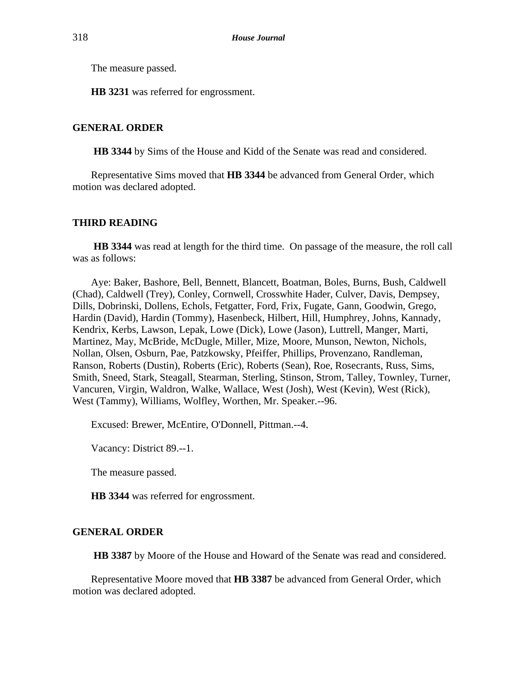The measure passed.

**HB 3231** was referred for engrossment.

# **GENERAL ORDER**

**HB 3344** by Sims of the House and Kidd of the Senate was read and considered.

Representative Sims moved that **HB 3344** be advanced from General Order, which motion was declared adopted.

# **THIRD READING**

**HB 3344** was read at length for the third time. On passage of the measure, the roll call was as follows:

Aye: Baker, Bashore, Bell, Bennett, Blancett, Boatman, Boles, Burns, Bush, Caldwell (Chad), Caldwell (Trey), Conley, Cornwell, Crosswhite Hader, Culver, Davis, Dempsey, Dills, Dobrinski, Dollens, Echols, Fetgatter, Ford, Frix, Fugate, Gann, Goodwin, Grego, Hardin (David), Hardin (Tommy), Hasenbeck, Hilbert, Hill, Humphrey, Johns, Kannady, Kendrix, Kerbs, Lawson, Lepak, Lowe (Dick), Lowe (Jason), Luttrell, Manger, Marti, Martinez, May, McBride, McDugle, Miller, Mize, Moore, Munson, Newton, Nichols, Nollan, Olsen, Osburn, Pae, Patzkowsky, Pfeiffer, Phillips, Provenzano, Randleman, Ranson, Roberts (Dustin), Roberts (Eric), Roberts (Sean), Roe, Rosecrants, Russ, Sims, Smith, Sneed, Stark, Steagall, Stearman, Sterling, Stinson, Strom, Talley, Townley, Turner, Vancuren, Virgin, Waldron, Walke, Wallace, West (Josh), West (Kevin), West (Rick), West (Tammy), Williams, Wolfley, Worthen, Mr. Speaker.--96.

Excused: Brewer, McEntire, O'Donnell, Pittman.--4.

Vacancy: District 89.--1.

The measure passed.

**HB 3344** was referred for engrossment.

# **GENERAL ORDER**

**HB 3387** by Moore of the House and Howard of the Senate was read and considered.

Representative Moore moved that **HB 3387** be advanced from General Order, which motion was declared adopted.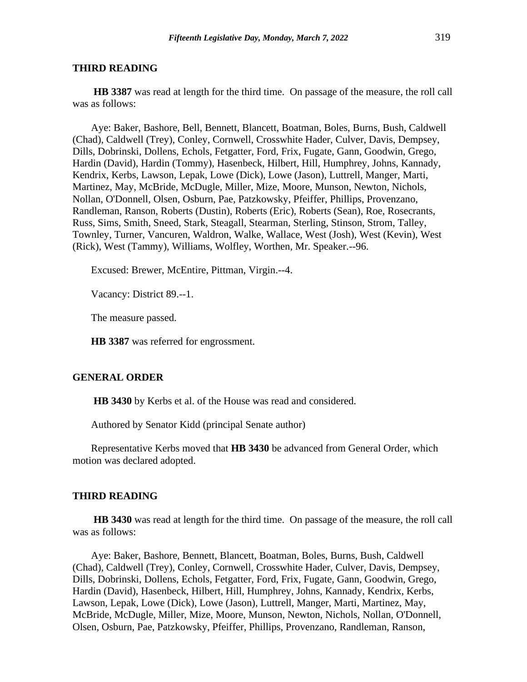#### **THIRD READING**

**HB 3387** was read at length for the third time. On passage of the measure, the roll call was as follows:

Aye: Baker, Bashore, Bell, Bennett, Blancett, Boatman, Boles, Burns, Bush, Caldwell (Chad), Caldwell (Trey), Conley, Cornwell, Crosswhite Hader, Culver, Davis, Dempsey, Dills, Dobrinski, Dollens, Echols, Fetgatter, Ford, Frix, Fugate, Gann, Goodwin, Grego, Hardin (David), Hardin (Tommy), Hasenbeck, Hilbert, Hill, Humphrey, Johns, Kannady, Kendrix, Kerbs, Lawson, Lepak, Lowe (Dick), Lowe (Jason), Luttrell, Manger, Marti, Martinez, May, McBride, McDugle, Miller, Mize, Moore, Munson, Newton, Nichols, Nollan, O'Donnell, Olsen, Osburn, Pae, Patzkowsky, Pfeiffer, Phillips, Provenzano, Randleman, Ranson, Roberts (Dustin), Roberts (Eric), Roberts (Sean), Roe, Rosecrants, Russ, Sims, Smith, Sneed, Stark, Steagall, Stearman, Sterling, Stinson, Strom, Talley, Townley, Turner, Vancuren, Waldron, Walke, Wallace, West (Josh), West (Kevin), West (Rick), West (Tammy), Williams, Wolfley, Worthen, Mr. Speaker.--96.

Excused: Brewer, McEntire, Pittman, Virgin.--4.

Vacancy: District 89.--1.

The measure passed.

**HB 3387** was referred for engrossment.

#### **GENERAL ORDER**

**HB 3430** by Kerbs et al. of the House was read and considered.

Authored by Senator Kidd (principal Senate author)

Representative Kerbs moved that **HB 3430** be advanced from General Order, which motion was declared adopted.

#### **THIRD READING**

**HB 3430** was read at length for the third time. On passage of the measure, the roll call was as follows:

Aye: Baker, Bashore, Bennett, Blancett, Boatman, Boles, Burns, Bush, Caldwell (Chad), Caldwell (Trey), Conley, Cornwell, Crosswhite Hader, Culver, Davis, Dempsey, Dills, Dobrinski, Dollens, Echols, Fetgatter, Ford, Frix, Fugate, Gann, Goodwin, Grego, Hardin (David), Hasenbeck, Hilbert, Hill, Humphrey, Johns, Kannady, Kendrix, Kerbs, Lawson, Lepak, Lowe (Dick), Lowe (Jason), Luttrell, Manger, Marti, Martinez, May, McBride, McDugle, Miller, Mize, Moore, Munson, Newton, Nichols, Nollan, O'Donnell, Olsen, Osburn, Pae, Patzkowsky, Pfeiffer, Phillips, Provenzano, Randleman, Ranson,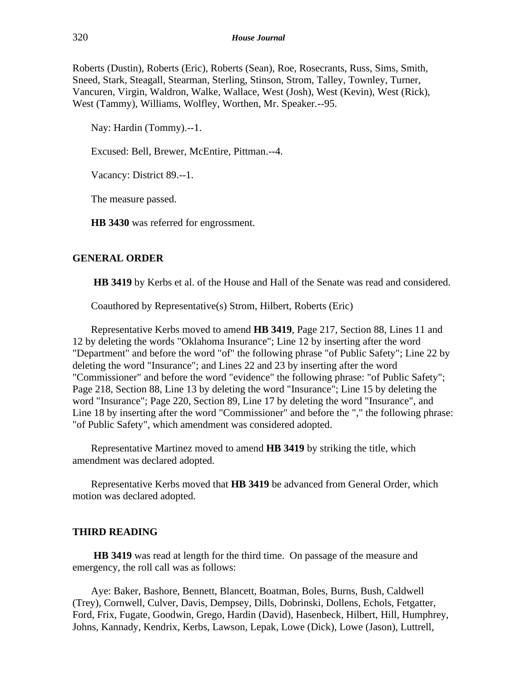Roberts (Dustin), Roberts (Eric), Roberts (Sean), Roe, Rosecrants, Russ, Sims, Smith, Sneed, Stark, Steagall, Stearman, Sterling, Stinson, Strom, Talley, Townley, Turner, Vancuren, Virgin, Waldron, Walke, Wallace, West (Josh), West (Kevin), West (Rick), West (Tammy), Williams, Wolfley, Worthen, Mr. Speaker.--95.

Nay: Hardin (Tommy).--1.

Excused: Bell, Brewer, McEntire, Pittman.--4.

Vacancy: District 89.--1.

The measure passed.

**HB 3430** was referred for engrossment.

# **GENERAL ORDER**

**HB 3419** by Kerbs et al. of the House and Hall of the Senate was read and considered.

Coauthored by Representative(s) Strom, Hilbert, Roberts (Eric)

Representative Kerbs moved to amend **HB 3419**, Page 217, Section 88, Lines 11 and 12 by deleting the words "Oklahoma Insurance"; Line 12 by inserting after the word "Department" and before the word "of" the following phrase "of Public Safety"; Line 22 by deleting the word "Insurance"; and Lines 22 and 23 by inserting after the word "Commissioner" and before the word "evidence" the following phrase: "of Public Safety"; Page 218, Section 88, Line 13 by deleting the word "Insurance"; Line 15 by deleting the word "Insurance"; Page 220, Section 89, Line 17 by deleting the word "Insurance", and Line 18 by inserting after the word "Commissioner" and before the "," the following phrase: "of Public Safety", which amendment was considered adopted.

Representative Martinez moved to amend **HB 3419** by striking the title, which amendment was declared adopted.

Representative Kerbs moved that **HB 3419** be advanced from General Order, which motion was declared adopted.

#### **THIRD READING**

**HB 3419** was read at length for the third time. On passage of the measure and emergency, the roll call was as follows:

Aye: Baker, Bashore, Bennett, Blancett, Boatman, Boles, Burns, Bush, Caldwell (Trey), Cornwell, Culver, Davis, Dempsey, Dills, Dobrinski, Dollens, Echols, Fetgatter, Ford, Frix, Fugate, Goodwin, Grego, Hardin (David), Hasenbeck, Hilbert, Hill, Humphrey, Johns, Kannady, Kendrix, Kerbs, Lawson, Lepak, Lowe (Dick), Lowe (Jason), Luttrell,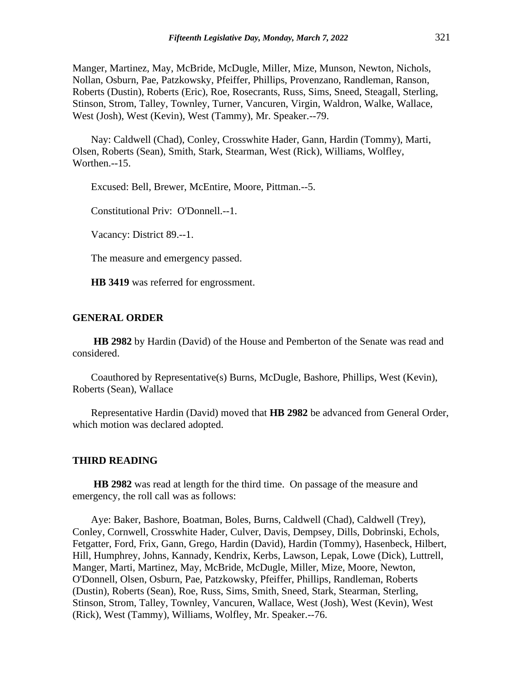Manger, Martinez, May, McBride, McDugle, Miller, Mize, Munson, Newton, Nichols, Nollan, Osburn, Pae, Patzkowsky, Pfeiffer, Phillips, Provenzano, Randleman, Ranson, Roberts (Dustin), Roberts (Eric), Roe, Rosecrants, Russ, Sims, Sneed, Steagall, Sterling, Stinson, Strom, Talley, Townley, Turner, Vancuren, Virgin, Waldron, Walke, Wallace, West (Josh), West (Kevin), West (Tammy), Mr. Speaker.--79.

Nay: Caldwell (Chad), Conley, Crosswhite Hader, Gann, Hardin (Tommy), Marti, Olsen, Roberts (Sean), Smith, Stark, Stearman, West (Rick), Williams, Wolfley, Worthen.--15.

Excused: Bell, Brewer, McEntire, Moore, Pittman.--5.

Constitutional Priv: O'Donnell.--1.

Vacancy: District 89.--1.

The measure and emergency passed.

**HB 3419** was referred for engrossment.

#### **GENERAL ORDER**

**HB 2982** by Hardin (David) of the House and Pemberton of the Senate was read and considered.

Coauthored by Representative(s) Burns, McDugle, Bashore, Phillips, West (Kevin), Roberts (Sean), Wallace

Representative Hardin (David) moved that **HB 2982** be advanced from General Order, which motion was declared adopted.

#### **THIRD READING**

**HB 2982** was read at length for the third time. On passage of the measure and emergency, the roll call was as follows:

Aye: Baker, Bashore, Boatman, Boles, Burns, Caldwell (Chad), Caldwell (Trey), Conley, Cornwell, Crosswhite Hader, Culver, Davis, Dempsey, Dills, Dobrinski, Echols, Fetgatter, Ford, Frix, Gann, Grego, Hardin (David), Hardin (Tommy), Hasenbeck, Hilbert, Hill, Humphrey, Johns, Kannady, Kendrix, Kerbs, Lawson, Lepak, Lowe (Dick), Luttrell, Manger, Marti, Martinez, May, McBride, McDugle, Miller, Mize, Moore, Newton, O'Donnell, Olsen, Osburn, Pae, Patzkowsky, Pfeiffer, Phillips, Randleman, Roberts (Dustin), Roberts (Sean), Roe, Russ, Sims, Smith, Sneed, Stark, Stearman, Sterling, Stinson, Strom, Talley, Townley, Vancuren, Wallace, West (Josh), West (Kevin), West (Rick), West (Tammy), Williams, Wolfley, Mr. Speaker.--76.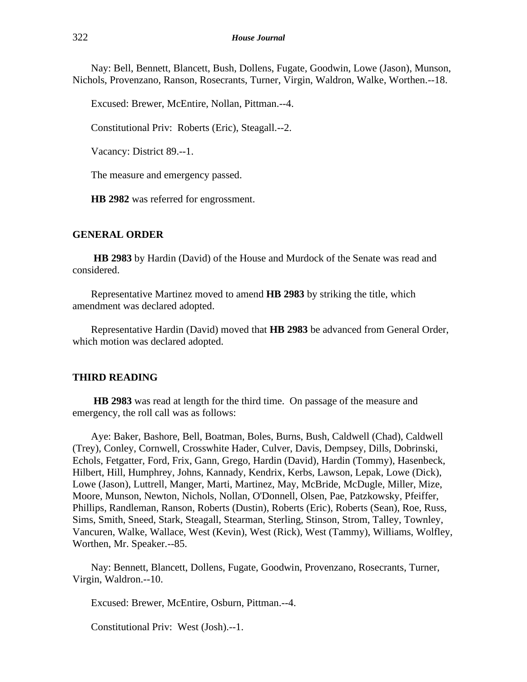Nay: Bell, Bennett, Blancett, Bush, Dollens, Fugate, Goodwin, Lowe (Jason), Munson, Nichols, Provenzano, Ranson, Rosecrants, Turner, Virgin, Waldron, Walke, Worthen.--18.

Excused: Brewer, McEntire, Nollan, Pittman.--4.

Constitutional Priv: Roberts (Eric), Steagall.--2.

Vacancy: District 89.--1.

The measure and emergency passed.

**HB 2982** was referred for engrossment.

#### **GENERAL ORDER**

**HB 2983** by Hardin (David) of the House and Murdock of the Senate was read and considered.

Representative Martinez moved to amend **HB 2983** by striking the title, which amendment was declared adopted.

Representative Hardin (David) moved that **HB 2983** be advanced from General Order, which motion was declared adopted.

#### **THIRD READING**

**HB 2983** was read at length for the third time. On passage of the measure and emergency, the roll call was as follows:

Aye: Baker, Bashore, Bell, Boatman, Boles, Burns, Bush, Caldwell (Chad), Caldwell (Trey), Conley, Cornwell, Crosswhite Hader, Culver, Davis, Dempsey, Dills, Dobrinski, Echols, Fetgatter, Ford, Frix, Gann, Grego, Hardin (David), Hardin (Tommy), Hasenbeck, Hilbert, Hill, Humphrey, Johns, Kannady, Kendrix, Kerbs, Lawson, Lepak, Lowe (Dick), Lowe (Jason), Luttrell, Manger, Marti, Martinez, May, McBride, McDugle, Miller, Mize, Moore, Munson, Newton, Nichols, Nollan, O'Donnell, Olsen, Pae, Patzkowsky, Pfeiffer, Phillips, Randleman, Ranson, Roberts (Dustin), Roberts (Eric), Roberts (Sean), Roe, Russ, Sims, Smith, Sneed, Stark, Steagall, Stearman, Sterling, Stinson, Strom, Talley, Townley, Vancuren, Walke, Wallace, West (Kevin), West (Rick), West (Tammy), Williams, Wolfley, Worthen, Mr. Speaker.--85.

Nay: Bennett, Blancett, Dollens, Fugate, Goodwin, Provenzano, Rosecrants, Turner, Virgin, Waldron.--10.

Excused: Brewer, McEntire, Osburn, Pittman.--4.

Constitutional Priv: West (Josh).--1.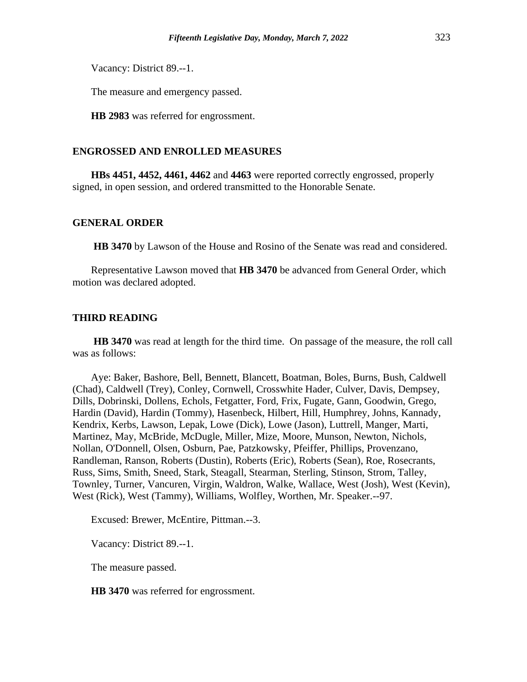Vacancy: District 89.--1.

The measure and emergency passed.

**HB 2983** was referred for engrossment.

# **ENGROSSED AND ENROLLED MEASURES**

**HBs 4451, 4452, 4461, 4462** and **4463** were reported correctly engrossed, properly signed, in open session, and ordered transmitted to the Honorable Senate.

#### **GENERAL ORDER**

**HB 3470** by Lawson of the House and Rosino of the Senate was read and considered.

Representative Lawson moved that **HB 3470** be advanced from General Order, which motion was declared adopted.

#### **THIRD READING**

**HB 3470** was read at length for the third time. On passage of the measure, the roll call was as follows:

Aye: Baker, Bashore, Bell, Bennett, Blancett, Boatman, Boles, Burns, Bush, Caldwell (Chad), Caldwell (Trey), Conley, Cornwell, Crosswhite Hader, Culver, Davis, Dempsey, Dills, Dobrinski, Dollens, Echols, Fetgatter, Ford, Frix, Fugate, Gann, Goodwin, Grego, Hardin (David), Hardin (Tommy), Hasenbeck, Hilbert, Hill, Humphrey, Johns, Kannady, Kendrix, Kerbs, Lawson, Lepak, Lowe (Dick), Lowe (Jason), Luttrell, Manger, Marti, Martinez, May, McBride, McDugle, Miller, Mize, Moore, Munson, Newton, Nichols, Nollan, O'Donnell, Olsen, Osburn, Pae, Patzkowsky, Pfeiffer, Phillips, Provenzano, Randleman, Ranson, Roberts (Dustin), Roberts (Eric), Roberts (Sean), Roe, Rosecrants, Russ, Sims, Smith, Sneed, Stark, Steagall, Stearman, Sterling, Stinson, Strom, Talley, Townley, Turner, Vancuren, Virgin, Waldron, Walke, Wallace, West (Josh), West (Kevin), West (Rick), West (Tammy), Williams, Wolfley, Worthen, Mr. Speaker.--97.

Excused: Brewer, McEntire, Pittman.--3.

Vacancy: District 89.--1.

The measure passed.

**HB 3470** was referred for engrossment.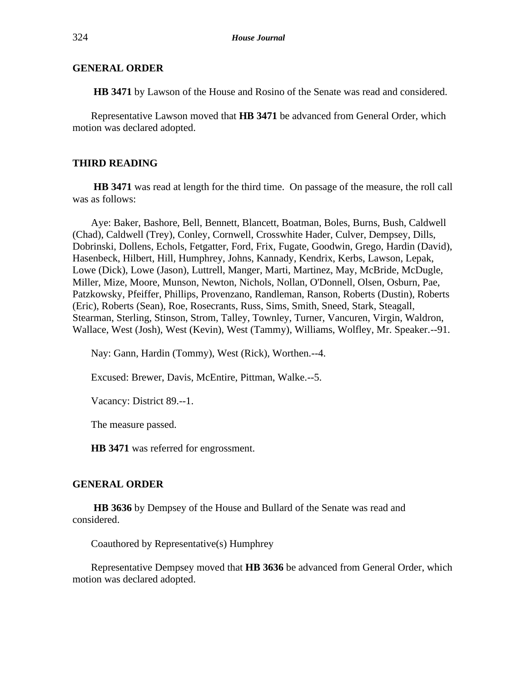# **GENERAL ORDER**

**HB 3471** by Lawson of the House and Rosino of the Senate was read and considered.

Representative Lawson moved that **HB 3471** be advanced from General Order, which motion was declared adopted.

## **THIRD READING**

**HB 3471** was read at length for the third time. On passage of the measure, the roll call was as follows:

Aye: Baker, Bashore, Bell, Bennett, Blancett, Boatman, Boles, Burns, Bush, Caldwell (Chad), Caldwell (Trey), Conley, Cornwell, Crosswhite Hader, Culver, Dempsey, Dills, Dobrinski, Dollens, Echols, Fetgatter, Ford, Frix, Fugate, Goodwin, Grego, Hardin (David), Hasenbeck, Hilbert, Hill, Humphrey, Johns, Kannady, Kendrix, Kerbs, Lawson, Lepak, Lowe (Dick), Lowe (Jason), Luttrell, Manger, Marti, Martinez, May, McBride, McDugle, Miller, Mize, Moore, Munson, Newton, Nichols, Nollan, O'Donnell, Olsen, Osburn, Pae, Patzkowsky, Pfeiffer, Phillips, Provenzano, Randleman, Ranson, Roberts (Dustin), Roberts (Eric), Roberts (Sean), Roe, Rosecrants, Russ, Sims, Smith, Sneed, Stark, Steagall, Stearman, Sterling, Stinson, Strom, Talley, Townley, Turner, Vancuren, Virgin, Waldron, Wallace, West (Josh), West (Kevin), West (Tammy), Williams, Wolfley, Mr. Speaker.--91.

Nay: Gann, Hardin (Tommy), West (Rick), Worthen.--4.

Excused: Brewer, Davis, McEntire, Pittman, Walke.--5.

Vacancy: District 89.--1.

The measure passed.

**HB 3471** was referred for engrossment.

#### **GENERAL ORDER**

**HB 3636** by Dempsey of the House and Bullard of the Senate was read and considered.

Coauthored by Representative(s) Humphrey

Representative Dempsey moved that **HB 3636** be advanced from General Order, which motion was declared adopted.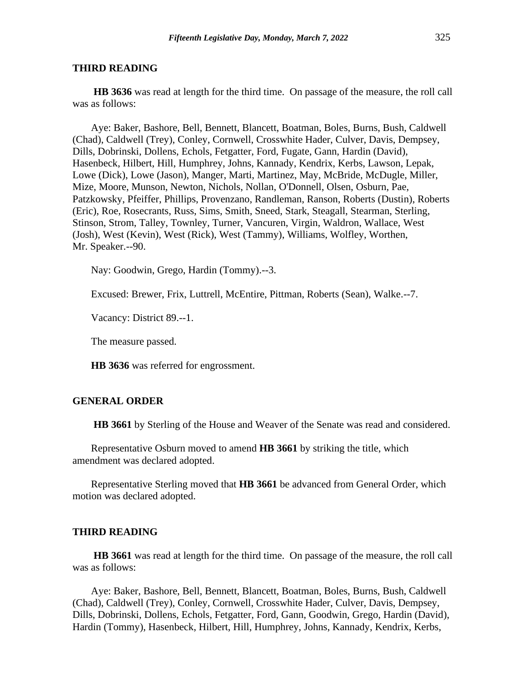#### **THIRD READING**

**HB 3636** was read at length for the third time. On passage of the measure, the roll call was as follows:

Aye: Baker, Bashore, Bell, Bennett, Blancett, Boatman, Boles, Burns, Bush, Caldwell (Chad), Caldwell (Trey), Conley, Cornwell, Crosswhite Hader, Culver, Davis, Dempsey, Dills, Dobrinski, Dollens, Echols, Fetgatter, Ford, Fugate, Gann, Hardin (David), Hasenbeck, Hilbert, Hill, Humphrey, Johns, Kannady, Kendrix, Kerbs, Lawson, Lepak, Lowe (Dick), Lowe (Jason), Manger, Marti, Martinez, May, McBride, McDugle, Miller, Mize, Moore, Munson, Newton, Nichols, Nollan, O'Donnell, Olsen, Osburn, Pae, Patzkowsky, Pfeiffer, Phillips, Provenzano, Randleman, Ranson, Roberts (Dustin), Roberts (Eric), Roe, Rosecrants, Russ, Sims, Smith, Sneed, Stark, Steagall, Stearman, Sterling, Stinson, Strom, Talley, Townley, Turner, Vancuren, Virgin, Waldron, Wallace, West (Josh), West (Kevin), West (Rick), West (Tammy), Williams, Wolfley, Worthen, Mr. Speaker.--90.

Nay: Goodwin, Grego, Hardin (Tommy).--3.

Excused: Brewer, Frix, Luttrell, McEntire, Pittman, Roberts (Sean), Walke.--7.

Vacancy: District 89.--1.

The measure passed.

**HB 3636** was referred for engrossment.

#### **GENERAL ORDER**

**HB 3661** by Sterling of the House and Weaver of the Senate was read and considered.

Representative Osburn moved to amend **HB 3661** by striking the title, which amendment was declared adopted.

Representative Sterling moved that **HB 3661** be advanced from General Order, which motion was declared adopted.

#### **THIRD READING**

**HB 3661** was read at length for the third time. On passage of the measure, the roll call was as follows:

Aye: Baker, Bashore, Bell, Bennett, Blancett, Boatman, Boles, Burns, Bush, Caldwell (Chad), Caldwell (Trey), Conley, Cornwell, Crosswhite Hader, Culver, Davis, Dempsey, Dills, Dobrinski, Dollens, Echols, Fetgatter, Ford, Gann, Goodwin, Grego, Hardin (David), Hardin (Tommy), Hasenbeck, Hilbert, Hill, Humphrey, Johns, Kannady, Kendrix, Kerbs,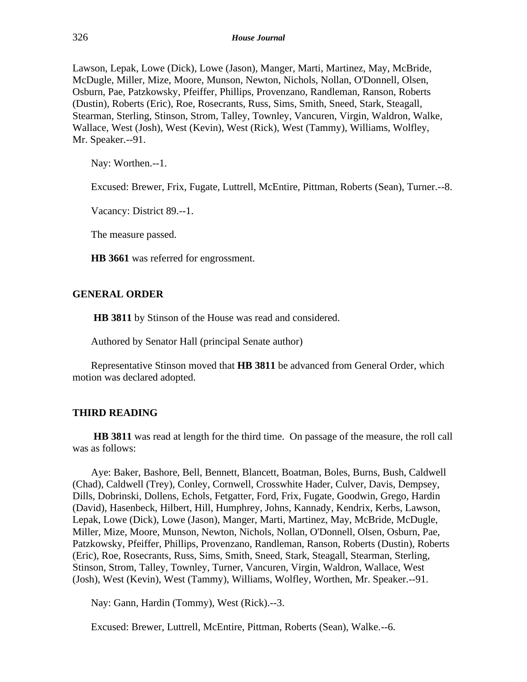Lawson, Lepak, Lowe (Dick), Lowe (Jason), Manger, Marti, Martinez, May, McBride, McDugle, Miller, Mize, Moore, Munson, Newton, Nichols, Nollan, O'Donnell, Olsen, Osburn, Pae, Patzkowsky, Pfeiffer, Phillips, Provenzano, Randleman, Ranson, Roberts (Dustin), Roberts (Eric), Roe, Rosecrants, Russ, Sims, Smith, Sneed, Stark, Steagall, Stearman, Sterling, Stinson, Strom, Talley, Townley, Vancuren, Virgin, Waldron, Walke, Wallace, West (Josh), West (Kevin), West (Rick), West (Tammy), Williams, Wolfley, Mr. Speaker.--91.

Nay: Worthen.--1.

Excused: Brewer, Frix, Fugate, Luttrell, McEntire, Pittman, Roberts (Sean), Turner.--8.

Vacancy: District 89.--1.

The measure passed.

**HB 3661** was referred for engrossment.

## **GENERAL ORDER**

**HB 3811** by Stinson of the House was read and considered.

Authored by Senator Hall (principal Senate author)

Representative Stinson moved that **HB 3811** be advanced from General Order, which motion was declared adopted.

# **THIRD READING**

**HB 3811** was read at length for the third time. On passage of the measure, the roll call was as follows:

Aye: Baker, Bashore, Bell, Bennett, Blancett, Boatman, Boles, Burns, Bush, Caldwell (Chad), Caldwell (Trey), Conley, Cornwell, Crosswhite Hader, Culver, Davis, Dempsey, Dills, Dobrinski, Dollens, Echols, Fetgatter, Ford, Frix, Fugate, Goodwin, Grego, Hardin (David), Hasenbeck, Hilbert, Hill, Humphrey, Johns, Kannady, Kendrix, Kerbs, Lawson, Lepak, Lowe (Dick), Lowe (Jason), Manger, Marti, Martinez, May, McBride, McDugle, Miller, Mize, Moore, Munson, Newton, Nichols, Nollan, O'Donnell, Olsen, Osburn, Pae, Patzkowsky, Pfeiffer, Phillips, Provenzano, Randleman, Ranson, Roberts (Dustin), Roberts (Eric), Roe, Rosecrants, Russ, Sims, Smith, Sneed, Stark, Steagall, Stearman, Sterling, Stinson, Strom, Talley, Townley, Turner, Vancuren, Virgin, Waldron, Wallace, West (Josh), West (Kevin), West (Tammy), Williams, Wolfley, Worthen, Mr. Speaker.--91.

Nay: Gann, Hardin (Tommy), West (Rick).--3.

Excused: Brewer, Luttrell, McEntire, Pittman, Roberts (Sean), Walke.--6.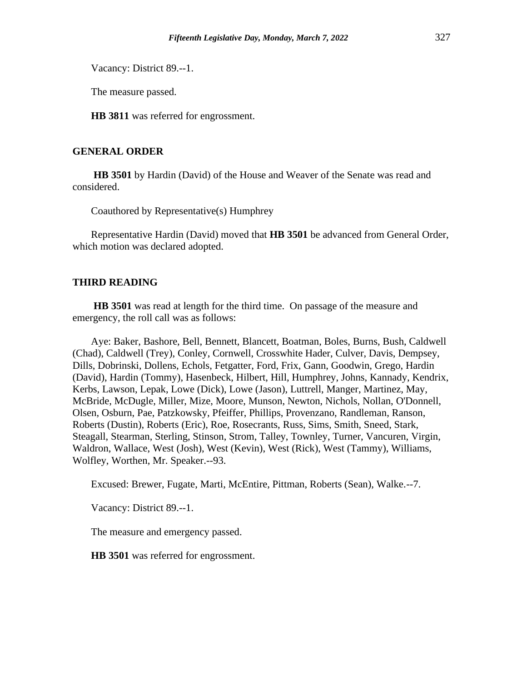Vacancy: District 89.--1.

The measure passed.

**HB 3811** was referred for engrossment.

# **GENERAL ORDER**

**HB 3501** by Hardin (David) of the House and Weaver of the Senate was read and considered.

Coauthored by Representative(s) Humphrey

Representative Hardin (David) moved that **HB 3501** be advanced from General Order, which motion was declared adopted.

#### **THIRD READING**

**HB 3501** was read at length for the third time. On passage of the measure and emergency, the roll call was as follows:

Aye: Baker, Bashore, Bell, Bennett, Blancett, Boatman, Boles, Burns, Bush, Caldwell (Chad), Caldwell (Trey), Conley, Cornwell, Crosswhite Hader, Culver, Davis, Dempsey, Dills, Dobrinski, Dollens, Echols, Fetgatter, Ford, Frix, Gann, Goodwin, Grego, Hardin (David), Hardin (Tommy), Hasenbeck, Hilbert, Hill, Humphrey, Johns, Kannady, Kendrix, Kerbs, Lawson, Lepak, Lowe (Dick), Lowe (Jason), Luttrell, Manger, Martinez, May, McBride, McDugle, Miller, Mize, Moore, Munson, Newton, Nichols, Nollan, O'Donnell, Olsen, Osburn, Pae, Patzkowsky, Pfeiffer, Phillips, Provenzano, Randleman, Ranson, Roberts (Dustin), Roberts (Eric), Roe, Rosecrants, Russ, Sims, Smith, Sneed, Stark, Steagall, Stearman, Sterling, Stinson, Strom, Talley, Townley, Turner, Vancuren, Virgin, Waldron, Wallace, West (Josh), West (Kevin), West (Rick), West (Tammy), Williams, Wolfley, Worthen, Mr. Speaker.--93.

Excused: Brewer, Fugate, Marti, McEntire, Pittman, Roberts (Sean), Walke.--7.

Vacancy: District 89.--1.

The measure and emergency passed.

**HB 3501** was referred for engrossment.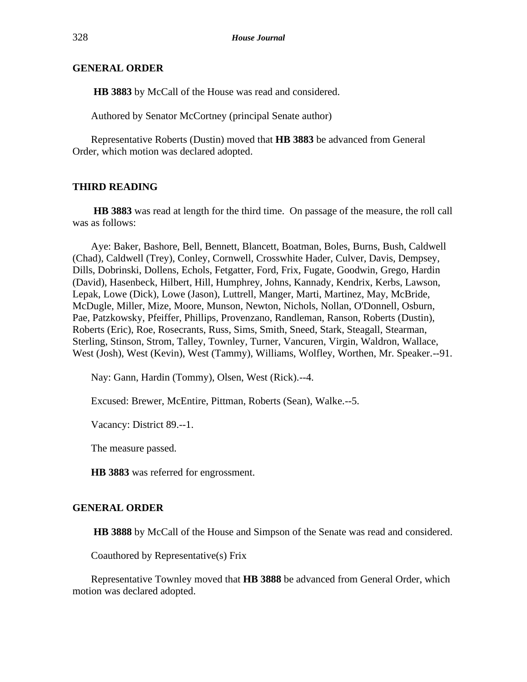# **GENERAL ORDER**

**HB 3883** by McCall of the House was read and considered.

Authored by Senator McCortney (principal Senate author)

Representative Roberts (Dustin) moved that **HB 3883** be advanced from General Order, which motion was declared adopted.

# **THIRD READING**

**HB 3883** was read at length for the third time. On passage of the measure, the roll call was as follows:

Aye: Baker, Bashore, Bell, Bennett, Blancett, Boatman, Boles, Burns, Bush, Caldwell (Chad), Caldwell (Trey), Conley, Cornwell, Crosswhite Hader, Culver, Davis, Dempsey, Dills, Dobrinski, Dollens, Echols, Fetgatter, Ford, Frix, Fugate, Goodwin, Grego, Hardin (David), Hasenbeck, Hilbert, Hill, Humphrey, Johns, Kannady, Kendrix, Kerbs, Lawson, Lepak, Lowe (Dick), Lowe (Jason), Luttrell, Manger, Marti, Martinez, May, McBride, McDugle, Miller, Mize, Moore, Munson, Newton, Nichols, Nollan, O'Donnell, Osburn, Pae, Patzkowsky, Pfeiffer, Phillips, Provenzano, Randleman, Ranson, Roberts (Dustin), Roberts (Eric), Roe, Rosecrants, Russ, Sims, Smith, Sneed, Stark, Steagall, Stearman, Sterling, Stinson, Strom, Talley, Townley, Turner, Vancuren, Virgin, Waldron, Wallace, West (Josh), West (Kevin), West (Tammy), Williams, Wolfley, Worthen, Mr. Speaker.--91.

Nay: Gann, Hardin (Tommy), Olsen, West (Rick).--4.

Excused: Brewer, McEntire, Pittman, Roberts (Sean), Walke.--5.

Vacancy: District 89.--1.

The measure passed.

**HB 3883** was referred for engrossment.

#### **GENERAL ORDER**

**HB 3888** by McCall of the House and Simpson of the Senate was read and considered.

Coauthored by Representative(s) Frix

Representative Townley moved that **HB 3888** be advanced from General Order, which motion was declared adopted.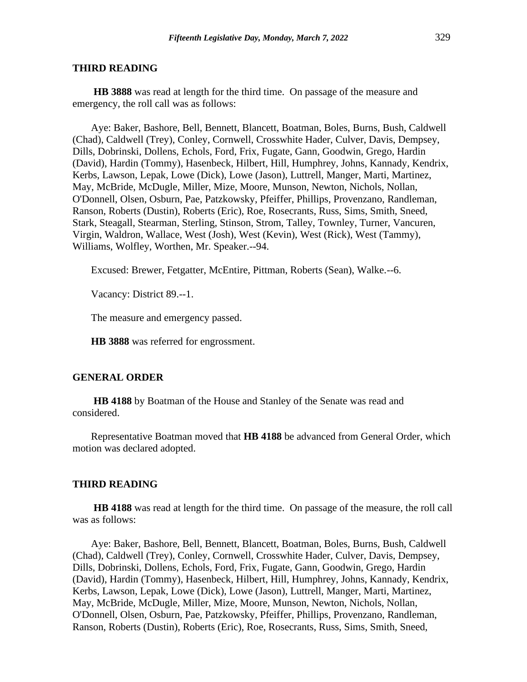#### **THIRD READING**

**HB 3888** was read at length for the third time. On passage of the measure and emergency, the roll call was as follows:

Aye: Baker, Bashore, Bell, Bennett, Blancett, Boatman, Boles, Burns, Bush, Caldwell (Chad), Caldwell (Trey), Conley, Cornwell, Crosswhite Hader, Culver, Davis, Dempsey, Dills, Dobrinski, Dollens, Echols, Ford, Frix, Fugate, Gann, Goodwin, Grego, Hardin (David), Hardin (Tommy), Hasenbeck, Hilbert, Hill, Humphrey, Johns, Kannady, Kendrix, Kerbs, Lawson, Lepak, Lowe (Dick), Lowe (Jason), Luttrell, Manger, Marti, Martinez, May, McBride, McDugle, Miller, Mize, Moore, Munson, Newton, Nichols, Nollan, O'Donnell, Olsen, Osburn, Pae, Patzkowsky, Pfeiffer, Phillips, Provenzano, Randleman, Ranson, Roberts (Dustin), Roberts (Eric), Roe, Rosecrants, Russ, Sims, Smith, Sneed, Stark, Steagall, Stearman, Sterling, Stinson, Strom, Talley, Townley, Turner, Vancuren, Virgin, Waldron, Wallace, West (Josh), West (Kevin), West (Rick), West (Tammy), Williams, Wolfley, Worthen, Mr. Speaker.--94.

Excused: Brewer, Fetgatter, McEntire, Pittman, Roberts (Sean), Walke.--6.

Vacancy: District 89.--1.

The measure and emergency passed.

**HB 3888** was referred for engrossment.

#### **GENERAL ORDER**

**HB 4188** by Boatman of the House and Stanley of the Senate was read and considered.

Representative Boatman moved that **HB 4188** be advanced from General Order, which motion was declared adopted.

#### **THIRD READING**

**HB 4188** was read at length for the third time. On passage of the measure, the roll call was as follows:

Aye: Baker, Bashore, Bell, Bennett, Blancett, Boatman, Boles, Burns, Bush, Caldwell (Chad), Caldwell (Trey), Conley, Cornwell, Crosswhite Hader, Culver, Davis, Dempsey, Dills, Dobrinski, Dollens, Echols, Ford, Frix, Fugate, Gann, Goodwin, Grego, Hardin (David), Hardin (Tommy), Hasenbeck, Hilbert, Hill, Humphrey, Johns, Kannady, Kendrix, Kerbs, Lawson, Lepak, Lowe (Dick), Lowe (Jason), Luttrell, Manger, Marti, Martinez, May, McBride, McDugle, Miller, Mize, Moore, Munson, Newton, Nichols, Nollan, O'Donnell, Olsen, Osburn, Pae, Patzkowsky, Pfeiffer, Phillips, Provenzano, Randleman, Ranson, Roberts (Dustin), Roberts (Eric), Roe, Rosecrants, Russ, Sims, Smith, Sneed,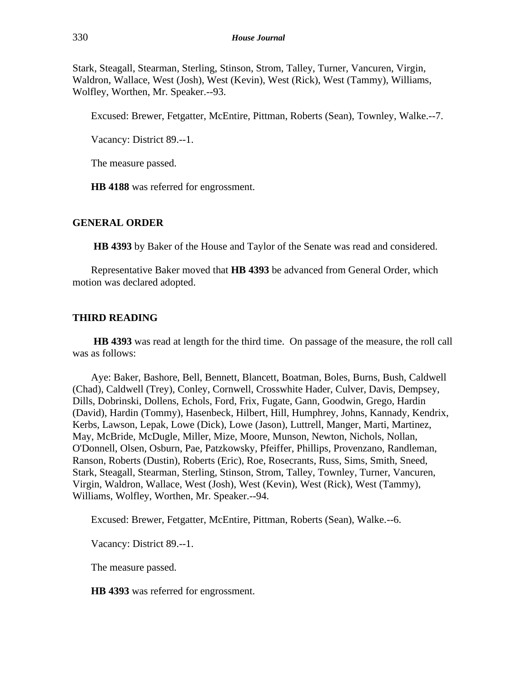Stark, Steagall, Stearman, Sterling, Stinson, Strom, Talley, Turner, Vancuren, Virgin, Waldron, Wallace, West (Josh), West (Kevin), West (Rick), West (Tammy), Williams, Wolfley, Worthen, Mr. Speaker.--93.

Excused: Brewer, Fetgatter, McEntire, Pittman, Roberts (Sean), Townley, Walke.--7.

Vacancy: District 89.--1.

The measure passed.

**HB 4188** was referred for engrossment.

## **GENERAL ORDER**

**HB 4393** by Baker of the House and Taylor of the Senate was read and considered.

Representative Baker moved that **HB 4393** be advanced from General Order, which motion was declared adopted.

# **THIRD READING**

**HB 4393** was read at length for the third time. On passage of the measure, the roll call was as follows:

Aye: Baker, Bashore, Bell, Bennett, Blancett, Boatman, Boles, Burns, Bush, Caldwell (Chad), Caldwell (Trey), Conley, Cornwell, Crosswhite Hader, Culver, Davis, Dempsey, Dills, Dobrinski, Dollens, Echols, Ford, Frix, Fugate, Gann, Goodwin, Grego, Hardin (David), Hardin (Tommy), Hasenbeck, Hilbert, Hill, Humphrey, Johns, Kannady, Kendrix, Kerbs, Lawson, Lepak, Lowe (Dick), Lowe (Jason), Luttrell, Manger, Marti, Martinez, May, McBride, McDugle, Miller, Mize, Moore, Munson, Newton, Nichols, Nollan, O'Donnell, Olsen, Osburn, Pae, Patzkowsky, Pfeiffer, Phillips, Provenzano, Randleman, Ranson, Roberts (Dustin), Roberts (Eric), Roe, Rosecrants, Russ, Sims, Smith, Sneed, Stark, Steagall, Stearman, Sterling, Stinson, Strom, Talley, Townley, Turner, Vancuren, Virgin, Waldron, Wallace, West (Josh), West (Kevin), West (Rick), West (Tammy), Williams, Wolfley, Worthen, Mr. Speaker.--94.

Excused: Brewer, Fetgatter, McEntire, Pittman, Roberts (Sean), Walke.--6.

Vacancy: District 89.--1.

The measure passed.

**HB 4393** was referred for engrossment.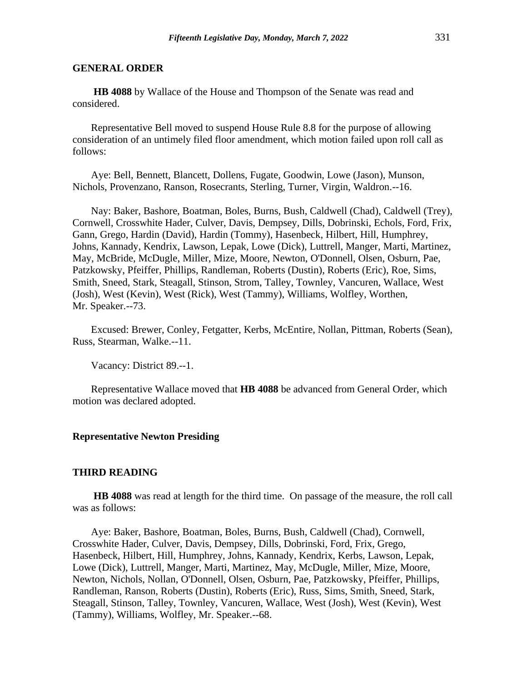# **GENERAL ORDER**

**HB 4088** by Wallace of the House and Thompson of the Senate was read and considered.

Representative Bell moved to suspend House Rule 8.8 for the purpose of allowing consideration of an untimely filed floor amendment, which motion failed upon roll call as follows:

Aye: Bell, Bennett, Blancett, Dollens, Fugate, Goodwin, Lowe (Jason), Munson, Nichols, Provenzano, Ranson, Rosecrants, Sterling, Turner, Virgin, Waldron.--16.

Nay: Baker, Bashore, Boatman, Boles, Burns, Bush, Caldwell (Chad), Caldwell (Trey), Cornwell, Crosswhite Hader, Culver, Davis, Dempsey, Dills, Dobrinski, Echols, Ford, Frix, Gann, Grego, Hardin (David), Hardin (Tommy), Hasenbeck, Hilbert, Hill, Humphrey, Johns, Kannady, Kendrix, Lawson, Lepak, Lowe (Dick), Luttrell, Manger, Marti, Martinez, May, McBride, McDugle, Miller, Mize, Moore, Newton, O'Donnell, Olsen, Osburn, Pae, Patzkowsky, Pfeiffer, Phillips, Randleman, Roberts (Dustin), Roberts (Eric), Roe, Sims, Smith, Sneed, Stark, Steagall, Stinson, Strom, Talley, Townley, Vancuren, Wallace, West (Josh), West (Kevin), West (Rick), West (Tammy), Williams, Wolfley, Worthen, Mr. Speaker.--73.

Excused: Brewer, Conley, Fetgatter, Kerbs, McEntire, Nollan, Pittman, Roberts (Sean), Russ, Stearman, Walke.--11.

Vacancy: District 89.--1.

Representative Wallace moved that **HB 4088** be advanced from General Order, which motion was declared adopted.

#### **Representative Newton Presiding**

#### **THIRD READING**

**HB 4088** was read at length for the third time. On passage of the measure, the roll call was as follows:

Aye: Baker, Bashore, Boatman, Boles, Burns, Bush, Caldwell (Chad), Cornwell, Crosswhite Hader, Culver, Davis, Dempsey, Dills, Dobrinski, Ford, Frix, Grego, Hasenbeck, Hilbert, Hill, Humphrey, Johns, Kannady, Kendrix, Kerbs, Lawson, Lepak, Lowe (Dick), Luttrell, Manger, Marti, Martinez, May, McDugle, Miller, Mize, Moore, Newton, Nichols, Nollan, O'Donnell, Olsen, Osburn, Pae, Patzkowsky, Pfeiffer, Phillips, Randleman, Ranson, Roberts (Dustin), Roberts (Eric), Russ, Sims, Smith, Sneed, Stark, Steagall, Stinson, Talley, Townley, Vancuren, Wallace, West (Josh), West (Kevin), West (Tammy), Williams, Wolfley, Mr. Speaker.--68.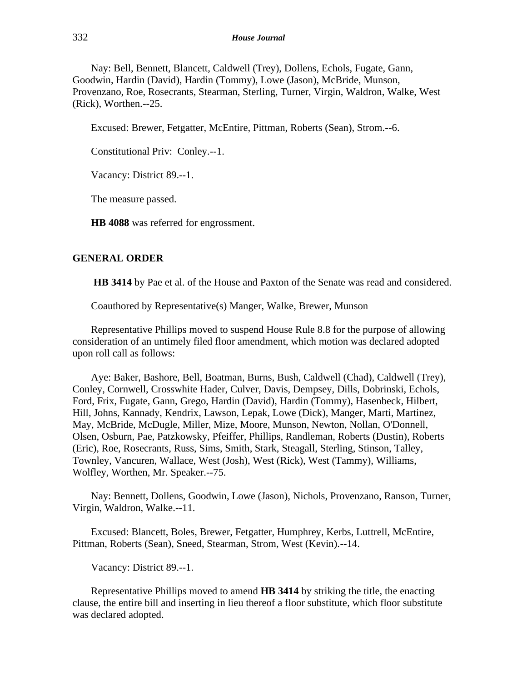Nay: Bell, Bennett, Blancett, Caldwell (Trey), Dollens, Echols, Fugate, Gann, Goodwin, Hardin (David), Hardin (Tommy), Lowe (Jason), McBride, Munson, Provenzano, Roe, Rosecrants, Stearman, Sterling, Turner, Virgin, Waldron, Walke, West (Rick), Worthen.--25.

Excused: Brewer, Fetgatter, McEntire, Pittman, Roberts (Sean), Strom.--6.

Constitutional Priv: Conley.--1.

Vacancy: District 89.--1.

The measure passed.

**HB 4088** was referred for engrossment.

#### **GENERAL ORDER**

**HB 3414** by Pae et al. of the House and Paxton of the Senate was read and considered.

Coauthored by Representative(s) Manger, Walke, Brewer, Munson

Representative Phillips moved to suspend House Rule 8.8 for the purpose of allowing consideration of an untimely filed floor amendment, which motion was declared adopted upon roll call as follows:

Aye: Baker, Bashore, Bell, Boatman, Burns, Bush, Caldwell (Chad), Caldwell (Trey), Conley, Cornwell, Crosswhite Hader, Culver, Davis, Dempsey, Dills, Dobrinski, Echols, Ford, Frix, Fugate, Gann, Grego, Hardin (David), Hardin (Tommy), Hasenbeck, Hilbert, Hill, Johns, Kannady, Kendrix, Lawson, Lepak, Lowe (Dick), Manger, Marti, Martinez, May, McBride, McDugle, Miller, Mize, Moore, Munson, Newton, Nollan, O'Donnell, Olsen, Osburn, Pae, Patzkowsky, Pfeiffer, Phillips, Randleman, Roberts (Dustin), Roberts (Eric), Roe, Rosecrants, Russ, Sims, Smith, Stark, Steagall, Sterling, Stinson, Talley, Townley, Vancuren, Wallace, West (Josh), West (Rick), West (Tammy), Williams, Wolfley, Worthen, Mr. Speaker.--75.

Nay: Bennett, Dollens, Goodwin, Lowe (Jason), Nichols, Provenzano, Ranson, Turner, Virgin, Waldron, Walke.--11.

Excused: Blancett, Boles, Brewer, Fetgatter, Humphrey, Kerbs, Luttrell, McEntire, Pittman, Roberts (Sean), Sneed, Stearman, Strom, West (Kevin).--14.

Vacancy: District 89.--1.

Representative Phillips moved to amend **HB 3414** by striking the title, the enacting clause, the entire bill and inserting in lieu thereof a floor substitute, which floor substitute was declared adopted.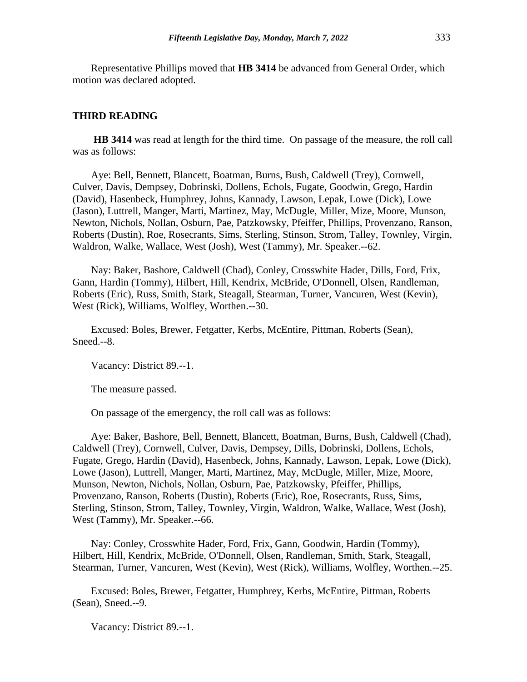Representative Phillips moved that **HB 3414** be advanced from General Order, which motion was declared adopted.

#### **THIRD READING**

**HB 3414** was read at length for the third time. On passage of the measure, the roll call was as follows:

Aye: Bell, Bennett, Blancett, Boatman, Burns, Bush, Caldwell (Trey), Cornwell, Culver, Davis, Dempsey, Dobrinski, Dollens, Echols, Fugate, Goodwin, Grego, Hardin (David), Hasenbeck, Humphrey, Johns, Kannady, Lawson, Lepak, Lowe (Dick), Lowe (Jason), Luttrell, Manger, Marti, Martinez, May, McDugle, Miller, Mize, Moore, Munson, Newton, Nichols, Nollan, Osburn, Pae, Patzkowsky, Pfeiffer, Phillips, Provenzano, Ranson, Roberts (Dustin), Roe, Rosecrants, Sims, Sterling, Stinson, Strom, Talley, Townley, Virgin, Waldron, Walke, Wallace, West (Josh), West (Tammy), Mr. Speaker.--62.

Nay: Baker, Bashore, Caldwell (Chad), Conley, Crosswhite Hader, Dills, Ford, Frix, Gann, Hardin (Tommy), Hilbert, Hill, Kendrix, McBride, O'Donnell, Olsen, Randleman, Roberts (Eric), Russ, Smith, Stark, Steagall, Stearman, Turner, Vancuren, West (Kevin), West (Rick), Williams, Wolfley, Worthen.--30.

Excused: Boles, Brewer, Fetgatter, Kerbs, McEntire, Pittman, Roberts (Sean), Sneed.--8.

Vacancy: District 89.--1.

The measure passed.

On passage of the emergency, the roll call was as follows:

Aye: Baker, Bashore, Bell, Bennett, Blancett, Boatman, Burns, Bush, Caldwell (Chad), Caldwell (Trey), Cornwell, Culver, Davis, Dempsey, Dills, Dobrinski, Dollens, Echols, Fugate, Grego, Hardin (David), Hasenbeck, Johns, Kannady, Lawson, Lepak, Lowe (Dick), Lowe (Jason), Luttrell, Manger, Marti, Martinez, May, McDugle, Miller, Mize, Moore, Munson, Newton, Nichols, Nollan, Osburn, Pae, Patzkowsky, Pfeiffer, Phillips, Provenzano, Ranson, Roberts (Dustin), Roberts (Eric), Roe, Rosecrants, Russ, Sims, Sterling, Stinson, Strom, Talley, Townley, Virgin, Waldron, Walke, Wallace, West (Josh), West (Tammy), Mr. Speaker.--66.

Nay: Conley, Crosswhite Hader, Ford, Frix, Gann, Goodwin, Hardin (Tommy), Hilbert, Hill, Kendrix, McBride, O'Donnell, Olsen, Randleman, Smith, Stark, Steagall, Stearman, Turner, Vancuren, West (Kevin), West (Rick), Williams, Wolfley, Worthen.--25.

Excused: Boles, Brewer, Fetgatter, Humphrey, Kerbs, McEntire, Pittman, Roberts (Sean), Sneed.--9.

Vacancy: District 89.--1.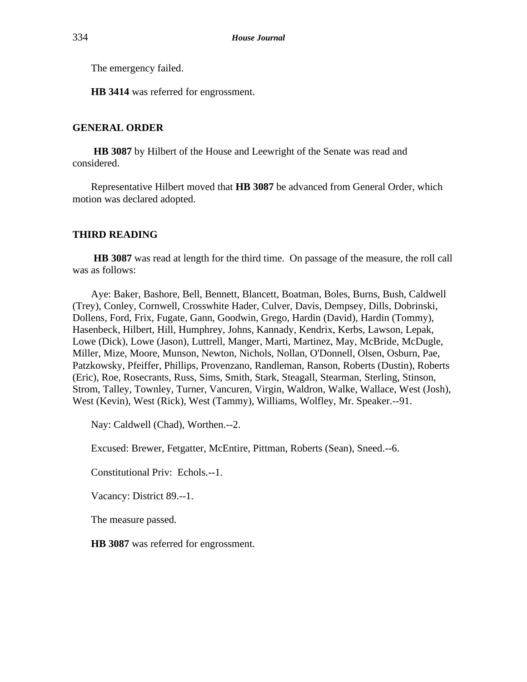The emergency failed.

**HB 3414** was referred for engrossment.

# **GENERAL ORDER**

**HB 3087** by Hilbert of the House and Leewright of the Senate was read and considered.

Representative Hilbert moved that **HB 3087** be advanced from General Order, which motion was declared adopted.

#### **THIRD READING**

**HB 3087** was read at length for the third time. On passage of the measure, the roll call was as follows:

Aye: Baker, Bashore, Bell, Bennett, Blancett, Boatman, Boles, Burns, Bush, Caldwell (Trey), Conley, Cornwell, Crosswhite Hader, Culver, Davis, Dempsey, Dills, Dobrinski, Dollens, Ford, Frix, Fugate, Gann, Goodwin, Grego, Hardin (David), Hardin (Tommy), Hasenbeck, Hilbert, Hill, Humphrey, Johns, Kannady, Kendrix, Kerbs, Lawson, Lepak, Lowe (Dick), Lowe (Jason), Luttrell, Manger, Marti, Martinez, May, McBride, McDugle, Miller, Mize, Moore, Munson, Newton, Nichols, Nollan, O'Donnell, Olsen, Osburn, Pae, Patzkowsky, Pfeiffer, Phillips, Provenzano, Randleman, Ranson, Roberts (Dustin), Roberts (Eric), Roe, Rosecrants, Russ, Sims, Smith, Stark, Steagall, Stearman, Sterling, Stinson, Strom, Talley, Townley, Turner, Vancuren, Virgin, Waldron, Walke, Wallace, West (Josh), West (Kevin), West (Rick), West (Tammy), Williams, Wolfley, Mr. Speaker.--91.

Nay: Caldwell (Chad), Worthen.--2.

Excused: Brewer, Fetgatter, McEntire, Pittman, Roberts (Sean), Sneed.--6.

Constitutional Priv: Echols.--1.

Vacancy: District 89.--1.

The measure passed.

**HB 3087** was referred for engrossment.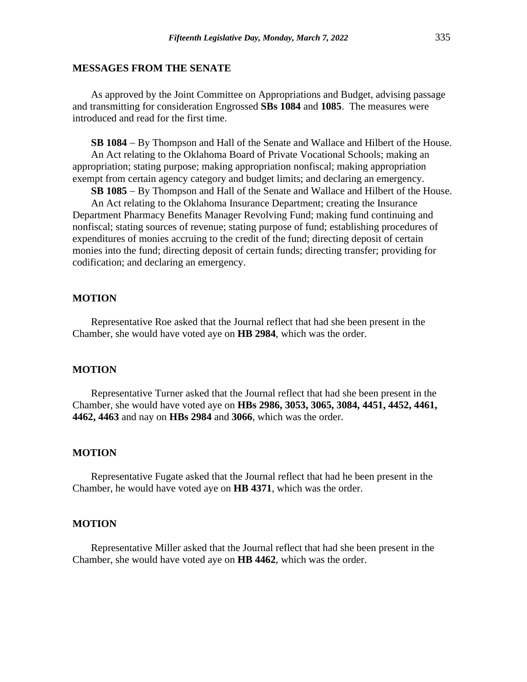# **MESSAGES FROM THE SENATE**

As approved by the Joint Committee on Appropriations and Budget, advising passage and transmitting for consideration Engrossed **SBs 1084** and **1085**. The measures were introduced and read for the first time.

**SB 1084** − By Thompson and Hall of the Senate and Wallace and Hilbert of the House. An Act relating to the Oklahoma Board of Private Vocational Schools; making an appropriation; stating purpose; making appropriation nonfiscal; making appropriation exempt from certain agency category and budget limits; and declaring an emergency.

**SB 1085** − By Thompson and Hall of the Senate and Wallace and Hilbert of the House.

An Act relating to the Oklahoma Insurance Department; creating the Insurance Department Pharmacy Benefits Manager Revolving Fund; making fund continuing and nonfiscal; stating sources of revenue; stating purpose of fund; establishing procedures of expenditures of monies accruing to the credit of the fund; directing deposit of certain monies into the fund; directing deposit of certain funds; directing transfer; providing for codification; and declaring an emergency.

# **MOTION**

Representative Roe asked that the Journal reflect that had she been present in the Chamber, she would have voted aye on **HB 2984**, which was the order.

#### **MOTION**

Representative Turner asked that the Journal reflect that had she been present in the Chamber, she would have voted aye on **HBs 2986, 3053, 3065, 3084, 4451, 4452, 4461, 4462, 4463** and nay on **HBs 2984** and **3066**, which was the order.

#### **MOTION**

Representative Fugate asked that the Journal reflect that had he been present in the Chamber, he would have voted aye on **HB 4371**, which was the order.

#### **MOTION**

Representative Miller asked that the Journal reflect that had she been present in the Chamber, she would have voted aye on **HB 4462**, which was the order.